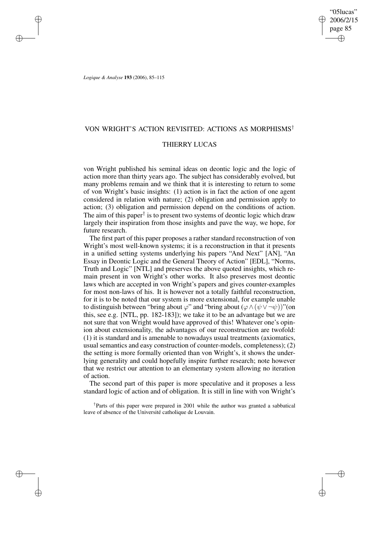*Logique & Analyse* **193** (2006), 85–115

# VON WRIGHT'S ACTION REVISITED: ACTIONS AS MORPHISMS†

# THIERRY LUCAS

von Wright published his seminal ideas on deontic logic and the logic of action more than thirty years ago. The subject has considerably evolved, but many problems remain and we think that it is interesting to return to some of von Wright's basic insights: (1) action is in fact the action of one agent considered in relation with nature; (2) obligation and permission apply to action; (3) obligation and permission depend on the conditions of action. The aim of this paper<sup>†</sup> is to present two systems of deontic logic which draw largely their inspiration from those insights and pave the way, we hope, for future research.

The first part of this paper proposes a rather standard reconstruction of von Wright's most well-known systems; it is a reconstruction in that it presents in a unified setting systems underlying his papers "And Next" [AN], "An Essay in Deontic Logic and the General Theory of Action" [EDL], "Norms, Truth and Logic" [NTL] and preserves the above quoted insights, which remain present in von Wright's other works. It also preserves most deontic laws which are accepted in von Wright's papers and gives counter-examples for most non-laws of his. It is however not a totally faithful reconstruction, for it is to be noted that our system is more extensional, for example unable to distinguish between "bring about  $\varphi$ " and "bring about  $(\varphi \wedge (\psi \vee \neg \psi))$ "(on this, see e.g. [NTL, pp. 182-183]); we take it to be an advantage but we are not sure that von Wright would have approved of this! Whatever one's opinion about extensionality, the advantages of our reconstruction are twofold: (1) it is standard and is amenable to nowadays usual treatments (axiomatics, usual semantics and easy construction of counter-models, completeness); (2) the setting is more formally oriented than von Wright's, it shows the underlying generality and could hopefully inspire further research; note however that we restrict our attention to an elementary system allowing no iteration of action.

The second part of this paper is more speculative and it proposes a less standard logic of action and of obligation. It is still in line with von Wright's

† Parts of this paper were prepared in 2001 while the author was granted a sabbatical leave of absence of the Université catholique de Louvain.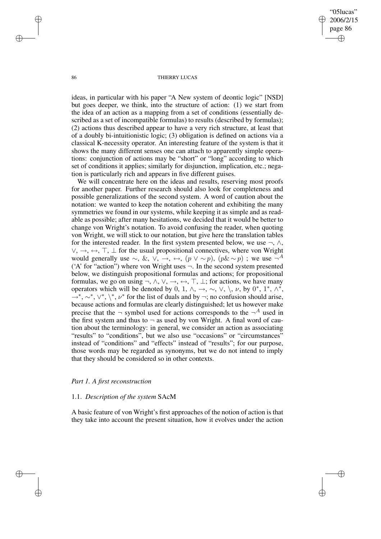#### 86 THIERRY LUCAS

ideas, in particular with his paper "A New system of deontic logic" [NSD] but goes deeper, we think, into the structure of action: (1) we start from the idea of an action as a mapping from a set of conditions (essentially described as a set of incompatible formulas) to results (described by formulas); (2) actions thus described appear to have a very rich structure, at least that of a doubly bi-intuitionistic logic; (3) obligation is defined on actions via a classical K-necessity operator. An interesting feature of the system is that it shows the many different senses one can attach to apparently simple operations: conjunction of actions may be "short" or "long" according to which set of conditions it applies; similarly for disjunction, implication, etc.; negation is particularly rich and appears in five different guises.

We will concentrate here on the ideas and results, reserving most proofs for another paper. Further research should also look for completeness and possible generalizations of the second system. A word of caution about the notation: we wanted to keep the notation coherent and exhibiting the many symmetries we found in our systems, while keeping it as simple and as readable as possible; after many hesitations, we decided that it would be better to change von Wright's notation. To avoid confusing the reader, when quoting von Wright, we will stick to our notation, but give here the translation tables for the interested reader. In the first system presented below, we use  $\neg$ ,  $\wedge$ ,  $\vee, \rightarrow, \leftarrow, \top, \bot$  for the usual propositional connectives, where von Wright would generally use  $\sim$ , &,  $\vee$ , →,  $\leftrightarrow$ ,  $(p \vee \sim p)$ ,  $(p \& \sim p)$ ; we use  $\neg^A$ ('A' for "action") where von Wright uses  $\neg$ . In the second system presented below, we distinguish propositional formulas and actions; for propositional formulas, we go on using  $\neg$ ,  $\wedge$ ,  $\vee$ ,  $\neg$ ,  $\neg$ ,  $\neg$ ,  $\neg$ ,  $\neg$ ,  $\neg$ ,  $\neg$ ,  $\neg$ ,  $\neg$ ,  $\neg$ ,  $\neg$ ,  $\neg$ ,  $\neg$ ,  $\neg$ ,  $\neg$ ,  $\neg$ ,  $\neg$ ,  $\neg$ ,  $\neg$ ,  $\neg$ ,  $\neg$ ,  $\neg$ ,  $\neg$ ,  $\neg$ ,  $\neg$ ,  $\neg$ ,  $\neg$ ,  $\neg$ ,  $\neg$ ,  $\n$ operators which will be denoted by 0, 1,  $\wedge$ ,  $\rightarrow$ ,  $\sim$ ,  $\vee$ ,  $\vee$ ,  $\vee$ ,  $\nu$ , by 0<sup>\*</sup>, 1<sup>\*</sup>,  $\wedge$ <sup>\*</sup>,  $\rightarrow^*, \sim^*, \vee^*, \vee^*, \nu^*$  for the list of duals and by  $\neg$ ; no confusion should arise, because actions and formulas are clearly distinguished; let us however make precise that the  $\neg$  symbol used for actions corresponds to the  $\neg^A$  used in the first system and thus to  $\neg$  as used by von Wright. A final word of caution about the terminology: in general, we consider an action as associating "results" to "conditions", but we also use "occasions" or "circumstances" instead of "conditions" and "effects" instead of "results"; for our purpose, those words may be regarded as synonyms, but we do not intend to imply that they should be considered so in other contexts.

# *Part 1. A first reconstruction*

# 1.1. *Description of the system* SAcM

A basic feature of von Wright's first approaches of the notion of action is that they take into account the present situation, how it evolves under the action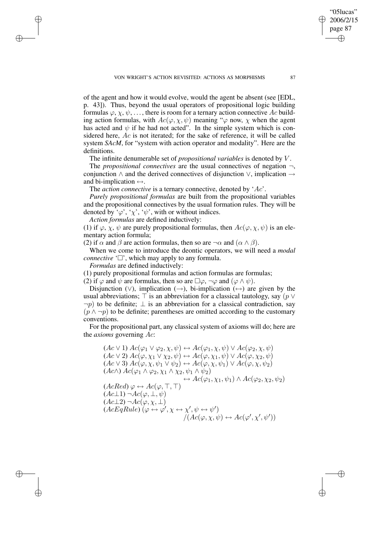VON WRIGHT'S ACTION REVISITED: ACTIONS AS MORPHISMS 87

of the agent and how it would evolve, would the agent be absent (see [EDL, p. 43]). Thus, beyond the usual operators of propositional logic building formulas  $\varphi, \chi, \psi, \ldots$ , there is room for a ternary action connective Ac building action formulas, with  $Ac(\varphi, \chi, \psi)$  meaning " $\varphi$  now,  $\chi$  when the agent has acted and  $\psi$  if he had not acted". In the simple system which is considered here, Ac is not iterated; for the sake of reference, it will be called system *SAcM*, for "system with action operator and modality". Here are the definitions.

The infinite denumerable set of *propositional variables* is denoted by V .

The *propositional connectives* are the usual connectives of negation ¬, conjunction ∧ and the derived connectives of disjunction ∨, implication → and bi-implication  $\leftrightarrow$ .

The *action connective* is a ternary connective, denoted by 'Ac'.

*Purely propositional formulas* are built from the propositional variables and the propositional connectives by the usual formation rules. They will be denoted by ' $\varphi'$ , ' $\chi'$ , ' $\psi'$ ', with or without indices.

*Action formulas* are defined inductively:

(1) if  $\varphi$ ,  $\chi$ ,  $\psi$  are purely propositional formulas, then  $Ac(\varphi, \chi, \psi)$  is an elementary action formula;

(2) if  $\alpha$  and  $\beta$  are action formulas, then so are  $\neg \alpha$  and  $(\alpha \wedge \beta)$ .

When we come to introduce the deontic operators, we will need a *modal connective*  $\Box$ , which may apply to any formula.

*Formulas* are defined inductively:

(1) purely propositional formulas and action formulas are formulas;

(2) if  $\varphi$  and  $\psi$  are formulas, then so are  $\Box \varphi$ ,  $\neg \varphi$  and  $(\varphi \land \psi)$ .

Disjunction ( $\vee$ ), implication (→), bi-implication (→) are given by the usual abbreviations;  $\top$  is an abbreviation for a classical tautology, say (p  $\vee$  $\neg p$ ) to be definite;  $\perp$  is an abbreviation for a classical contradiction, say  $(p \wedge \neg p)$  to be definite; parentheses are omitted according to the customary conventions.

For the propositional part, any classical system of axioms will do; here are the *axioms* governing Ac:

 $(Ac \vee 1)$   $Ac(\varphi_1 \vee \varphi_2, \chi, \psi) \leftrightarrow Ac(\varphi_1, \chi, \psi) \vee Ac(\varphi_2, \chi, \psi)$  $(Ac \vee 2) \, Ac(\varphi, \chi_1 \vee \chi_2, \psi) \leftrightarrow Ac(\varphi, \chi_1, \psi) \vee Ac(\varphi, \chi_2, \psi)$  $(Ac \vee 3)$   $Ac(\varphi, \chi, \psi_1 \vee \psi_2) \leftrightarrow Ac(\varphi, \chi, \psi_1) \vee Ac(\varphi, \chi, \psi_2)$  $(Ac \wedge) \, Ac(\varphi_1 \wedge \varphi_2, \chi_1 \wedge \chi_2, \psi_1 \wedge \psi_2)$  $\leftrightarrow$   $Ac(\varphi_1, \chi_1, \psi_1) \land Ac(\varphi_2, \chi_2, \psi_2)$  $(AcRed) \varphi \leftrightarrow Ac(\varphi, \top, \top)$  $(Ac\bot 1)\neg Ac(\varphi,\bot,\psi)$  $(Ac\bot 2)\neg Ac(\varphi,\chi,\bot)$  $(AcEqRule)$   $(\varphi \leftrightarrow \varphi', \chi \leftrightarrow \chi', \psi \leftrightarrow \psi')$  $/(Ac(\varphi, \chi, \psi) \leftrightarrow Ac(\varphi', \chi', \psi'))$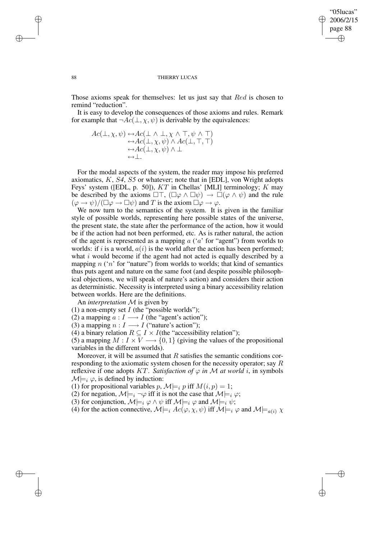Those axioms speak for themselves: let us just say that Red is chosen to remind "reduction".

It is easy to develop the consequences of those axioms and rules. Remark for example that  $\neg Ac(\bot, \chi, \psi)$  is derivable by the equivalences:

$$
Ac(\bot, \chi, \psi) \leftrightarrow Ac(\bot \land \bot, \chi \land \top, \psi \land \top) \leftrightarrow Ac(\bot, \chi, \psi) \land Ac(\bot, \top, \top) \leftrightarrow Ac(\bot, \chi, \psi) \land \bot \leftrightarrow \bot.
$$

For the modal aspects of the system, the reader may impose his preferred axiomatics, K, S*4*, S*5* or whatever; note that in [EDL], von Wright adopts Feys' system ([EDL, p. 50]), KT in Chellas' [MLI] terminology; K may be described by the axioms  $\Box \top$ ,  $(\Box \varphi \land \Box \psi) \rightarrow \Box (\varphi \land \psi)$  and the rule  $(\varphi \to \psi)/(\square \varphi \to \square \psi)$  and T is the axiom  $\square \varphi \to \varphi$ .

We now turn to the semantics of the system. It is given in the familiar style of possible worlds, representing here possible states of the universe, the present state, the state after the performance of the action, how it would be if the action had not been performed, etc. As is rather natural, the action of the agent is represented as a mapping  $a$  (' $a$ ' for "agent") from worlds to worlds: if i is a world,  $a(i)$  is the world after the action has been performed; what  $i$  would become if the agent had not acted is equally described by a mapping  $n$  ('n' for "nature") from worlds to worlds; that kind of semantics thus puts agent and nature on the same foot (and despite possible philosophical objections, we will speak of nature's action) and considers their action as deterministic. Necessity is interpreted using a binary accessibility relation between worlds. Here are the definitions.

An *interpretation* M is given by

(1) a non-empty set  $I$  (the "possible worlds");

(2) a mapping  $a: I \longrightarrow I$  (the "agent's action");

(3) a mapping  $n: I \longrightarrow I$  ("nature's action");

(4) a binary relation  $R \subseteq I \times I$  (the "accessibility relation");

(5) a mapping  $M: I \times V \longrightarrow \{0, 1\}$  (giving the values of the propositional variables in the different worlds).

Moreover, it will be assumed that  $R$  satisfies the semantic conditions corresponding to the axiomatic system chosen for the necessity operator; say R reflexive if one adopts KT. Satisfaction of  $\varphi$  in M at world i, in symbols  $\mathcal{M}|_{i} \varphi$ , is defined by induction:

(1) for propositional variables p,  $\mathcal{M}|_{i}$  p iff  $M(i, p) = 1$ ;

(2) for negation,  $\mathcal{M}|_{i} = i \rightarrow \varphi$  iff it is not the case that  $\mathcal{M}|_{i} \varphi$ ;

(3) for conjunction,  $\mathcal{M}|=i \varphi \wedge \psi$  iff  $\mathcal{M}|=i \varphi$  and  $\mathcal{M}|=i \psi$ ;

(4) for the action connective,  $\mathcal{M}|_{i} \neq \text{ac}(\varphi, \chi, \psi)$  iff  $\mathcal{M}|_{i} \neq \varphi$  and  $\mathcal{M}|_{i} \neq \varphi$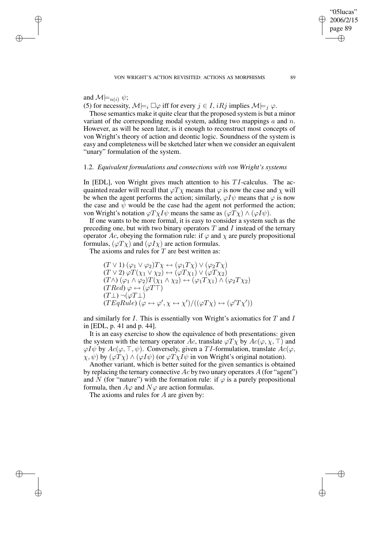and  $\mathcal{M}|_{n(i)} \psi;$ 

(5) for necessity,  $\mathcal{M}|_{\equiv i} \Box \varphi$  iff for every  $j \in I$ ,  $iRj$  implies  $\mathcal{M}|_{\equiv j} \varphi$ .

Those semantics make it quite clear that the proposed system is but a minor variant of the corresponding modal system, adding two mappings  $a$  and  $n$ . However, as will be seen later, is it enough to reconstruct most concepts of von Wright's theory of action and deontic logic. Soundness of the system is easy and completeness will be sketched later when we consider an equivalent "unary" formulation of the system.

# 1.2. *Equivalent formulations and connections with von Wright's systems*

In [EDL], von Wright gives much attention to his  $TI$ -calculus. The acquainted reader will recall that  $\varphi T \chi$  means that  $\varphi$  is now the case and  $\chi$  will be when the agent performs the action; similarly,  $\varphi I \psi$  means that  $\varphi$  is now the case and  $\psi$  would be the case had the agent not performed the action; von Wright's notation  $\varphi T \chi I \psi$  means the same as  $(\varphi T \chi) \wedge (\varphi I \psi)$ .

If one wants to be more formal, it is easy to consider a system such as the preceding one, but with two binary operators  $T$  and  $I$  instead of the ternary operator Ac, obeying the formation rule: if  $\varphi$  and  $\chi$  are purely propositional formulas,  $(\varphi T \chi)$  and  $(\varphi I \chi)$  are action formulas.

The axioms and rules for  $T$  are best written as:

$$
(T \vee 1) (\varphi_1 \vee \varphi_2) T \chi \leftrightarrow (\varphi_1 T \chi) \vee (\varphi_2 T \chi)
$$
  
\n
$$
(T \vee 2) \varphi T (\chi_1 \vee \chi_2) \leftrightarrow (\varphi T \chi_1) \vee (\varphi T \chi_2)
$$
  
\n
$$
(T \wedge) (\varphi_1 \wedge \varphi_2) T (\chi_1 \wedge \chi_2) \leftrightarrow (\varphi_1 T \chi_1) \wedge (\varphi_2 T \chi_2)
$$
  
\n
$$
(T \text{Red}) \varphi \leftrightarrow (\varphi T \top)
$$
  
\n
$$
(T \perp) \neg (\varphi T \perp)
$$
  
\n
$$
(T \text{EqRule}) (\varphi \leftrightarrow \varphi', \chi \leftrightarrow \chi') / ((\varphi T \chi) \leftrightarrow (\varphi' T \chi'))
$$

and similarly for  $I$ . This is essentially von Wright's axiomatics for  $T$  and  $I$ in [EDL, p. 41 and p. 44].

It is an easy exercise to show the equivalence of both presentations: given the system with the ternary operator Ac, translate  $\varphi T \chi$  by  $Ac(\varphi, \chi, \top)$  and  $\varphi I \psi$  by  $Ac(\varphi, \top, \psi)$ . Conversely, given a TI-formulation, translate  $Ac(\varphi, \psi)$  $(\chi, \psi)$  by  $(\varphi T \chi) \wedge (\varphi I \psi)$  (or  $\varphi T \chi I \psi$  in von Wright's original notation).

Another variant, which is better suited for the given semantics is obtained by replacing the ternary connective  $Ac$  by two unary operators A (for "agent") and N (for "nature") with the formation rule: if  $\varphi$  is a purely propositional formula, then  $A\varphi$  and  $N\varphi$  are action formulas.

The axioms and rules for  $A$  are given by: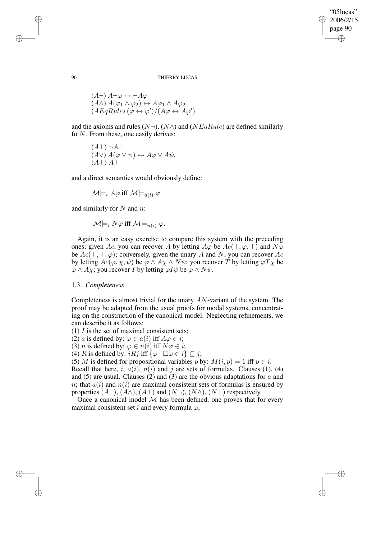#### 90 THIERRY LUCAS

$$
(A\neg) A\neg\varphi \leftrightarrow \neg A\varphi
$$
  

$$
(A\wedge) A(\varphi_1 \wedge \varphi_2) \leftrightarrow A\varphi_1 \wedge A\varphi_2
$$
  

$$
(AEqRule) (\varphi \leftrightarrow \varphi') / (A\varphi \leftrightarrow A\varphi')
$$

and the axioms and rules  $(N\neg), (N\wedge)$  and  $(NEqRule)$  are defined similarly fo N. From these, one easily derives:

$$
(A\bot) \neg A\bot
$$
  

$$
(A\vee) A(\varphi \vee \psi) \leftrightarrow A\varphi \vee A\psi,
$$
  

$$
(A\top) A\top
$$

and a direct semantics would obviously define:

 $\mathcal{M}\models_i A\varphi$  iff  $\mathcal{M}\models_{a(i)}\varphi$ 

and similarly for  $N$  and  $n$ :

$$
\mathcal{M}\models_i N\varphi \text{ iff } \mathcal{M}\models_{n(i)} \varphi.
$$

Again, it is an easy exercise to compare this system with the preceding ones; given Ac, you can recover A by letting  $A\varphi$  be  $Ac(\top, \varphi, \top)$  and  $N\varphi$ be  $Ac(\top, \top, \varphi)$ ; conversely, given the unary A and N, you can recover Ac by letting  $Ac(\varphi, \chi, \psi)$  be  $\varphi \wedge A\chi \wedge N\psi$ ; you recover T by letting  $\varphi T\chi$  be  $\varphi \wedge Ay$ ; you recover *I* by letting  $\varphi I \psi$  be  $\varphi \wedge N \psi$ .

# 1.3. *Completeness*

Completeness is almost trivial for the unary AN-variant of the system. The proof may be adapted from the usual proofs for modal systems, concentrating on the construction of the canonical model. Neglecting refinements, we can describe it as follows:

(1)  $I$  is the set of maximal consistent sets;

(2) *a* is defined by:  $\varphi \in a(i)$  iff  $A\varphi \in i$ ;

(3) *n* is defined by:  $\varphi \in n(i)$  iff  $N\varphi \in i$ ;

(4) R is defined by:  $iRj$  iff  $\{\varphi \mid \Box \varphi \in i\} \subseteq j$ ;

(5) M is defined for propositional variables p by:  $M(i, p) = 1$  iff  $p \in i$ .

Recall that here, i,  $a(i)$ ,  $n(i)$  and j are sets of formulas. Clauses (1), (4) and (5) are usual. Clauses (2) and (3) are the obvious adaptations for  $a$  and n; that  $a(i)$  and  $n(i)$  are maximal consistent sets of formulas is ensured by properties  $(A\neg), (A\wedge), (A\perp)$  and  $(N\neg), (N\wedge), (N\perp)$  respectively.

Once a canonical model  $M$  has been defined, one proves that for every maximal consistent set i and every formula  $\varphi$ ,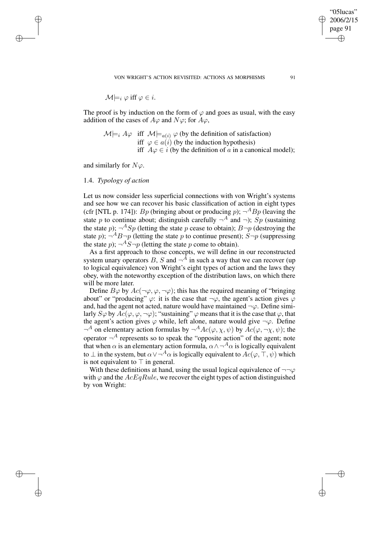VON WRIGHT'S ACTION REVISITED: ACTIONS AS MORPHISMS 91

 $\mathcal{M} \models_i \varphi$  iff  $\varphi \in i$ .

The proof is by induction on the form of  $\varphi$  and goes as usual, with the easy addition of the cases of  $A\varphi$  and  $N\varphi$ ; for  $A\varphi$ ,

 $\mathcal{M}|_{i} \neq A\varphi$  iff  $\mathcal{M}|_{a(i)} \varphi$  (by the definition of satisfaction) iff  $\varphi \in a(i)$  (by the induction hypothesis) iff  $A\varphi \in i$  (by the definition of a in a canonical model);

and similarly for  $N\varphi$ .

# 1.4. *Typology of action*

Let us now consider less superficial connections with von Wright's systems and see how we can recover his basic classification of action in eight types (cfr [NTL p. 174]):  $Bp$  (bringing about or producing p);  $\neg$ <sup>A</sup> $Bp$  (leaving the state p to continue about; distinguish carefully  $\neg^A$  and  $\neg$ ); Sp (sustaining the state  $p$ );  $\neg^A Sp$  (letting the state p cease to obtain);  $B\neg p$  (destroying the state  $p$ );  $\neg$ <sup>A</sup>B $\neg$ *p* (letting the state  $p$  to continue present); S $\neg$ *p* (suppressing the state  $p$ );  $\neg^A S \neg p$  (letting the state p come to obtain).

As a first approach to those concepts, we will define in our reconstructed system unary operators B, S and  $\neg^{\bar{A}}$  in such a way that we can recover (up to logical equivalence) von Wright's eight types of action and the laws they obey, with the noteworthy exception of the distribution laws, on which there will be more later.

Define  $B\varphi$  by  $Ac(\neg\varphi, \varphi, \neg\varphi)$ ; this has the required meaning of "bringing" about" or "producing"  $\varphi$ : it is the case that  $\neg \varphi$ , the agent's action gives  $\varphi$ and, had the agent not acted, nature would have maintained  $\neg \varphi$ . Define similarly  $S\varphi$  by  $Ac(\varphi, \varphi, \neg \varphi)$ ; "sustaining"  $\varphi$  means that it is the case that  $\varphi$ , that the agent's action gives  $\varphi$  while, left alone, nature would give  $\neg \varphi$ . Define  $\neg^A$  on elementary action formulas by  $\neg^A Ac(\varphi, \chi, \psi)$  by  $Ac(\varphi, \neg \chi, \psi)$ ; the operator  $\neg^A$  represents so to speak the "opposite action" of the agent; note that when  $\alpha$  is an elementary action formula,  $\alpha \wedge \neg^A \alpha$  is logically equivalent to  $\perp$  in the system, but  $\alpha \vee \neg^A \alpha$  is logically equivalent to  $Ac(\varphi, \top, \psi)$  which is not equivalent to  $\top$  in general.

With these definitions at hand, using the usual logical equivalence of  $\neg\neg\varphi$ with  $\varphi$  and the  $AcEqRule$ , we recover the eight types of action distinguished by von Wright: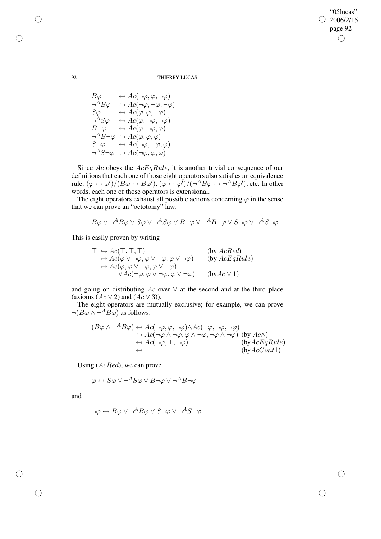⊕

## 92 THIERRY LUCAS

$$
B\varphi \leftrightarrow Ac(\neg \varphi, \varphi, \neg \varphi)
$$
  
\n
$$
\neg^{A}B\varphi \leftrightarrow Ac(\neg \varphi, \neg \varphi, \neg \varphi)
$$
  
\n
$$
S\varphi \leftrightarrow Ac(\varphi, \varphi, \neg \varphi)
$$
  
\n
$$
\neg^{A}S\varphi \leftrightarrow Ac(\varphi, \neg \varphi, \neg \varphi)
$$
  
\n
$$
B\neg \varphi \leftrightarrow Ac(\varphi, \neg \varphi, \varphi)
$$
  
\n
$$
\neg^{A}B\neg \varphi \leftrightarrow Ac(\varphi, \neg \varphi, \varphi)
$$
  
\n
$$
S\neg \varphi \leftrightarrow Ac(\varphi, \varphi, \varphi)
$$
  
\n
$$
S\neg \varphi \leftrightarrow Ac(\neg \varphi, \neg \varphi, \varphi)
$$
  
\n
$$
\neg^{A}S\neg \varphi \leftrightarrow Ac(\neg \varphi, \varphi, \varphi)
$$

Since  $Ac$  obeys the  $AcEqRule$ , it is another trivial consequence of our definitions that each one of those eight operators also satisfies an equivalence rule:  $(\varphi \leftrightarrow \varphi')/(B\varphi \leftrightarrow B\varphi'), (\varphi \leftrightarrow \varphi')/(\neg^A B\varphi \leftrightarrow \neg^A B\varphi'),$  etc. In other words, each one of those operators is extensional.

The eight operators exhaust all possible actions concerning  $\varphi$  in the sense that we can prove an "octotomy" law:

$$
B\varphi \vee \neg^AB\varphi \vee S\varphi \vee \neg^AS\varphi \vee B\neg\varphi \vee \neg^AB\neg\varphi \vee S\neg\varphi \vee \neg^AS\neg\varphi
$$

This is easily proven by writing

$$
\top \leftrightarrow Ac(\top, \top, \top) \qquad \text{(by } AcRed) \leftrightarrow Ac(\varphi \lor \neg \varphi, \varphi \lor \neg \varphi, \varphi \lor \neg \varphi) \qquad \text{(by } AcEqRule) \leftrightarrow Ac(\varphi, \varphi \lor \neg \varphi, \varphi \lor \neg \varphi) \lor Ac(\neg \varphi, \varphi \lor \neg \varphi, \varphi \lor \neg \varphi) \qquad \text{(by } Ac \lor 1)
$$

and going on distributing  $Ac$  over  $\vee$  at the second and at the third place (axioms  $(Ac \vee 2)$  and  $(Ac \vee 3)$ ).

The eight operators are mutually exclusive; for example, we can prove  $\neg(B\varphi \wedge \neg^A B\varphi)$  as follows:

$$
(B\varphi \wedge \neg^{A}B\varphi) \leftrightarrow Ac(\neg \varphi, \varphi, \neg \varphi) \wedge Ac(\neg \varphi, \neg \varphi, \neg \varphi)
$$
  
\n
$$
\leftrightarrow Ac(\neg \varphi \wedge \neg \varphi, \varphi \wedge \neg \varphi, \neg \varphi \wedge \neg \varphi)
$$
 (by  $Ac \wedge$ )  
\n
$$
\leftrightarrow Ac(\neg \varphi, \bot, \neg \varphi)
$$
  
\n
$$
\leftrightarrow Ac(\neg \varphi, \bot, \neg \varphi)
$$
  
\n
$$
\leftrightarrow (\neg \varphi, \bot, \neg \varphi)
$$
  
\n
$$
\leftrightarrow (\neg \varphi, \bot, \neg \varphi)
$$

Using (AcRed), we can prove

$$
\varphi \leftrightarrow S\varphi \vee \neg^A S\varphi \vee B\neg \varphi \vee \neg^A B\neg \varphi
$$

and

$$
\neg \varphi \leftrightarrow B\varphi \vee \neg^A B\varphi \vee S\neg \varphi \vee \neg^A S\neg \varphi.
$$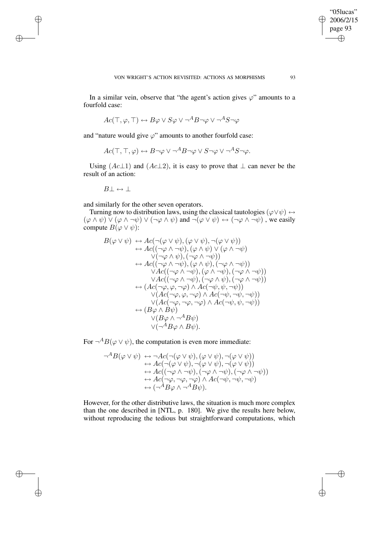VON WRIGHT'S ACTION REVISITED: ACTIONS AS MORPHISMS 93

"05lucas" 2006/2/15 page 93

⊕

In a similar vein, observe that "the agent's action gives  $\varphi$ " amounts to a fourfold case:

$$
Ac(\top,\varphi,\top)\leftrightarrow B\varphi\vee S\varphi\vee\neg^AB\neg\varphi\vee\neg^AS\neg\varphi
$$

and "nature would give  $\varphi$ " amounts to another fourfold case:

$$
Ac(\top, \top, \varphi) \leftrightarrow B \neg \varphi \lor \neg^A B \neg \varphi \lor S \neg \varphi \lor \neg^A S \neg \varphi.
$$

Using  $(Ac\perp 1)$  and  $(Ac\perp 2)$ , it is easy to prove that  $\perp$  can never be the result of an action:

 $B\perp \leftrightarrow \perp$ 

and similarly for the other seven operators.

Turning now to distribution laws, using the classical tautologies ( $\varphi \lor \psi$ ) ↔  $(\varphi \wedge \psi) \vee (\varphi \wedge \neg \psi) \vee (\neg \varphi \wedge \psi)$  and  $\neg(\varphi \vee \psi) \leftrightarrow (\neg \varphi \wedge \neg \psi)$ , we easily compute  $B(\varphi \vee \psi)$ :

$$
B(\varphi \lor \psi) \leftrightarrow Ac(\neg(\varphi \lor \psi), (\varphi \lor \psi), \neg(\varphi \lor \psi))
$$
  
\n
$$
\leftrightarrow Ac((\neg\varphi \land \neg\psi), (\varphi \land \psi) \lor (\varphi \land \neg\psi)
$$
  
\n
$$
\lor(\neg\varphi \land \psi), (\neg\varphi \land \neg\psi))
$$
  
\n
$$
\leftrightarrow Ac((\neg\varphi \land \neg\psi), (\varphi \land \psi), (\neg\varphi \land \neg\psi))
$$
  
\n
$$
\lor Ac((\neg\varphi \land \neg\psi), (\varphi \land \psi), (\neg\varphi \land \neg\psi))
$$
  
\n
$$
\lor Ac((\neg\varphi \land \neg\psi), (\varphi \land \neg\psi), (\neg\varphi \land \neg\psi))
$$
  
\n
$$
\lor Ac((\neg\varphi \land \neg\psi), (\neg\varphi \land \psi), (\neg\varphi \land \neg\psi))
$$
  
\n
$$
\leftrightarrow (Ac(\neg\varphi, \varphi, \neg\varphi) \land Ac(\neg\psi, \psi, \neg\psi))
$$
  
\n
$$
\lor (Ac(\neg\varphi, \varphi, \neg\varphi) \land Ac(\neg\psi, \neg\psi, \neg\psi))
$$
  
\n
$$
\lor (Ac(\neg\varphi, \neg\varphi, \neg\varphi) \land Ac(\neg\psi, \psi, \neg\psi))
$$
  
\n
$$
\lor (B\varphi \land B\psi)
$$
  
\n
$$
\lor(\neg^A B\varphi \land B\psi).
$$

For  $\neg$ <sup>A</sup> $B(\varphi \lor \psi)$ , the computation is even more immediate:

$$
\neg^{A}B(\varphi \lor \psi) \leftrightarrow \neg Ac(\neg(\varphi \lor \psi), (\varphi \lor \psi), \neg(\varphi \lor \psi))\leftrightarrow Ac(\neg(\varphi \lor \psi), \neg(\varphi \lor \psi), \neg(\varphi \lor \psi))\leftrightarrow Ac(\neg(\varphi \land \neg \psi), (\neg \varphi \land \neg \psi), (\neg \varphi \land \neg \psi))\leftrightarrow Ac(\neg \varphi, \neg \varphi, \neg \varphi) \land Ac(\neg \psi, \neg \psi, \neg \psi)\leftrightarrow (\neg^{A}B\varphi \land \neg^{A}B\psi).
$$

However, for the other distributive laws, the situation is much more complex than the one described in [NTL, p. 180]. We give the results here below, without reproducing the tedious but straightforward computations, which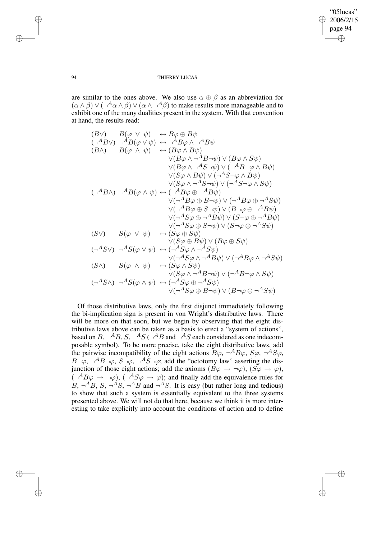are similar to the ones above. We also use  $\alpha \oplus \beta$  as an abbreviation for  $(\alpha \wedge \beta) \vee (\neg^A \alpha \wedge \beta) \vee (\alpha \wedge \neg^A \beta)$  to make results more manageable and to exhibit one of the many dualities present in the system. With that convention at hand, the results read:

(BV) 
$$
B(\varphi \lor \psi) \leftrightarrow B\varphi \oplus B\psi
$$
  
\n $(\neg^{A}B\lor) \neg^{A}B(\varphi \lor \psi) \leftrightarrow \neg^{A}B\varphi \land \neg^{A}B\psi$   
\n $(B \land )$   $B(\varphi \land \psi) \leftrightarrow (B\varphi \land B\psi)$   
\n $\lor (B\varphi \land \neg^{A}B\neg\psi) \lor (B\varphi \land S\psi)$   
\n $\lor (B\varphi \land \neg^{A}S\neg\psi) \lor (\neg^{A}B\neg\varphi \land B\psi)$   
\n $\lor (S\varphi \land B\psi) \lor (\neg^{A}S\neg\varphi \land B\psi)$   
\n $\lor (S\varphi \land \neg^{A}S\neg\psi) \lor (\neg^{A}S\neg\varphi \land B\psi)$   
\n $(\neg^{A}B\land) \neg^{A}B(\varphi \land \psi) \leftrightarrow (\neg^{A}B\varphi \oplus \neg^{A}B\psi)$   
\n $\lor (\neg^{A}B\varphi \oplus B\neg\psi) \lor (\neg^{A}B\varphi \oplus \neg^{A}B\psi)$   
\n $\lor (\neg^{A}B\varphi \oplus S\neg\psi) \lor (B\neg\varphi \oplus \neg^{A}B\psi)$   
\n $\lor (\neg^{A}S\varphi \oplus \neg^{A}B\psi) \lor (S\neg\varphi \oplus \neg^{A}B\psi)$   
\n $\lor (\neg^{A}S\varphi \oplus S\neg\psi) \lor (S\neg\varphi \oplus \neg^{A}B\psi)$   
\n $\lor (\neg^{A}S\varphi \oplus S\neg\psi) \lor (S\neg\varphi \oplus \neg^{A}B\psi)$   
\n $\lor (\neg^{A}S\varphi \oplus S\psi) \lor (S\varphi \oplus S\psi)$   
\n $(S\lor) S(\varphi \lor \psi) \leftrightarrow (S\varphi \oplus S\psi)$   
\n $\lor (\neg^{A}S\varphi \land \neg^{A}S\psi)$   
\n $\lor (\neg^{A}S\varphi \land \neg^{A}B\psi) \lor (\neg^{A}B\varphi \land \neg^{A}S\psi)$   
\n $\lor (\neg^{A}S\varphi \land \neg$ 

Of those distributive laws, only the first disjunct immediately following the bi-implication sign is present in von Wright's distributive laws. There will be more on that soon, but we begin by observing that the eight distributive laws above can be taken as a basis to erect a "system of actions", based on B,  $\neg^{A}B$ , S,  $\neg^{A}S$  ( $\neg^{A}B$  and  $\neg^{A}S$  each considered as one indecomposable symbol). To be more precise, take the eight distributive laws, add the pairwise incompatibility of the eight actions  $B\varphi$ ,  $\neg$ <sup>A</sup> $B\varphi$ ,  $S\varphi$ ,  $\neg$ <sup>A</sup> $S\varphi$ ,  $B\neg\varphi$ ,  $\neg^A B\neg\varphi$ ,  $S\neg\varphi$ ,  $\neg^A S\neg\varphi$ ; add the "octotomy law" asserting the disjunction of those eight actions; add the axioms  $(B\varphi \to \neg \varphi)$ ,  $(S\varphi \to \varphi)$ ,  $(\neg^{A}B\varphi \rightarrow \neg\varphi), (\neg^{A}S\varphi \rightarrow \varphi);$  and finally add the equivalence rules for  $B, \neg^{A}B, S, \neg^{A}S, \neg^{A}B$  and  $\neg^{A}S$ . It is easy (but rather long and tedious) to show that such a system is essentially equivalent to the three systems presented above. We will not do that here, because we think it is more interesting to take explicitly into account the conditions of action and to define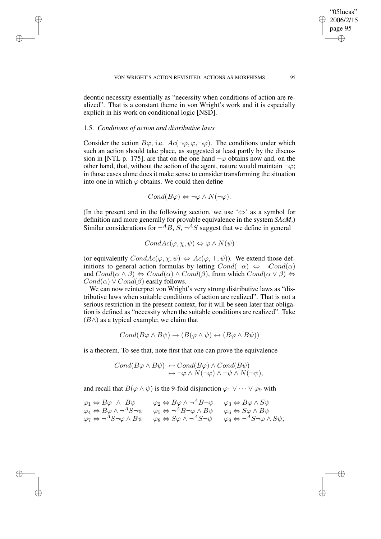deontic necessity essentially as "necessity when conditions of action are realized". That is a constant theme in von Wright's work and it is especially explicit in his work on conditional logic [NSD].

## 1.5. *Conditions of action and distributive laws*

Consider the action  $B\varphi$ , i.e.  $Ac(\neg \varphi, \varphi, \neg \varphi)$ . The conditions under which such an action should take place, as suggested at least partly by the discussion in [NTL p. 175], are that on the one hand  $\neg \varphi$  obtains now and, on the other hand, that, without the action of the agent, nature would maintain  $\neg \varphi$ ; in those cases alone does it make sense to consider transforming the situation into one in which  $\varphi$  obtains. We could then define

$$
Cond(B\varphi) \Leftrightarrow \neg \varphi \wedge N(\neg \varphi).
$$

(In the present and in the following section, we use ' $\Leftrightarrow$ ' as a symbol for definition and more generally for provable equivalence in the system *SAcM*.) Similar considerations for  $\neg$ <sup>A</sup>B, S,  $\neg$ <sup>A</sup>S suggest that we define in general

$$
CondAc(\varphi,\chi,\psi)\Leftrightarrow\varphi\wedge N(\psi)
$$

(or equivalently  $CondAc(\varphi, \chi, \psi) \Leftrightarrow Ac(\varphi, \top, \psi)$ ). We extend those definitions to general action formulas by letting  $Cond(\neg \alpha) \Leftrightarrow \neg Cond(\alpha)$ and  $Cond(\alpha \wedge \beta) \Leftrightarrow Cond(\alpha) \wedge Cond(\beta)$ , from which  $Cond(\alpha \vee \beta) \Leftrightarrow$  $Cond(\alpha) \vee Cond(\beta)$  easily follows.

We can now reinterpret von Wright's very strong distributive laws as "distributive laws when suitable conditions of action are realized". That is not a serious restriction in the present context, for it will be seen later that obligation is defined as "necessity when the suitable conditions are realized". Take  $(B \wedge)$  as a typical example; we claim that

$$
Cond(B\varphi \wedge B\psi) \rightarrow (B(\varphi \wedge \psi) \leftrightarrow (B\varphi \wedge B\psi))
$$

is a theorem. To see that, note first that one can prove the equivalence

$$
Cond(B\varphi \wedge B\psi) \leftrightarrow Cond(B\varphi) \wedge Cond(B\psi)
$$
  

$$
\leftrightarrow \neg \varphi \wedge N(\neg \varphi) \wedge \neg \psi \wedge N(\neg \psi),
$$

and recall that  $B(\varphi \wedge \psi)$  is the 9-fold disjunction  $\varphi_1 \vee \cdots \vee \varphi_9$  with

$$
\varphi_1 \Leftrightarrow B\varphi \wedge B\psi \qquad \varphi_2 \Leftrightarrow B\varphi \wedge \neg^A B \neg \psi \qquad \varphi_3 \Leftrightarrow B\varphi \wedge S\psi
$$
  

$$
\varphi_4 \Leftrightarrow B\varphi \wedge \neg^A S \neg \psi \qquad \varphi_5 \Leftrightarrow \neg^A B \neg \varphi \wedge B\psi \qquad \varphi_6 \Leftrightarrow S\varphi \wedge B\psi
$$
  

$$
\varphi_7 \Leftrightarrow \neg^A S \neg \varphi \wedge B\psi \qquad \varphi_8 \Leftrightarrow S\varphi \wedge \neg^A S \neg \psi \qquad \varphi_9 \Leftrightarrow \neg^A S \neg \varphi \wedge S\psi;
$$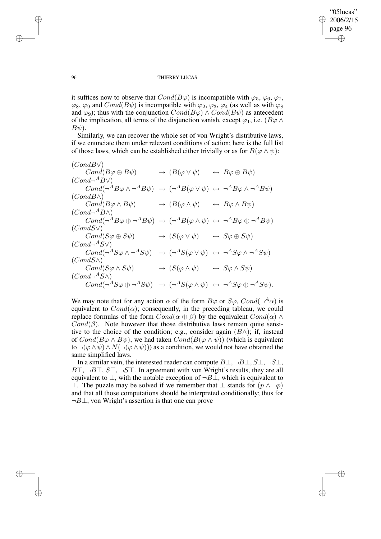⊕

 $\oplus$ 

#### 96 THIERRY LUCAS

it suffices now to observe that  $Cond(B\varphi)$  is incompatible with  $\varphi_5$ ,  $\varphi_6$ ,  $\varphi_7$ ,  $\varphi_8$ ,  $\varphi_9$  and  $Cond(B\psi)$  is incompatible with  $\varphi_2$ ,  $\varphi_3$ ,  $\varphi_4$  (as well as with  $\varphi_8$ and  $\varphi_9$ ); thus with the conjunction  $Cond(B\varphi) \wedge Cond(B\psi)$  as antecedent of the implication, all terms of the disjunction vanish, except  $\varphi_1$ , i.e.  $(B\varphi \wedge$  $B\psi$ ).

Similarly, we can recover the whole set of von Wright's distributive laws, if we enunciate them under relevant conditions of action; here is the full list of those laws, which can be established either trivially or as for  $B(\varphi \wedge \psi)$ :

(CondB∨)  $Cond(B\varphi \oplus B\psi) \longrightarrow (B(\varphi \vee \psi) \longrightarrow B\varphi \oplus B\psi)$  $(Cond \neg^A B \vee)$  $Cond(\neg^A B\varphi \wedge \neg^A B\psi) \rightarrow (\neg^A B(\varphi \vee \psi) \leftrightarrow \neg^A B\varphi \wedge \neg^A B\psi)$  $(CondB\wedge)$  $Cond(B\varphi \wedge B\psi) \longrightarrow (B(\varphi \wedge \psi) \longrightarrow B\varphi \wedge B\psi)$  $(Cond\neg^A B\wedge)$  $Cond(\neg^{A}B\varphi \oplus \neg^{A}B\psi) \rightarrow (\neg^{A}B(\varphi \wedge \psi) \leftrightarrow \neg^{A}B\varphi \oplus \neg^{A}B\psi)$  $(CondS\vee)$  $Cond(S\varphi \oplus S\psi) \longrightarrow (S(\varphi \vee \psi) \longrightarrow S\varphi \oplus S\psi)$  $(Cond\neg^AS\vee)$  $Cond(\neg^AS\varphi \wedge \neg^AS\psi) \rightarrow (\neg^AS(\varphi \vee \psi) \leftrightarrow \neg^AS\varphi \wedge \neg^AS\psi)$  $(CondS\wedge)$  $Cond(S\varphi \wedge S\psi) \longrightarrow (S(\varphi \wedge \psi) \longrightarrow S\varphi \wedge S\psi)$  $(Cond\neg A S \wedge)$  $Cond(\neg^AS\varphi \oplus \neg^AS\psi) \rightarrow (\neg^AS(\varphi \wedge \psi) \leftrightarrow \neg^AS\varphi \oplus \neg^AS\psi).$ 

We may note that for any action  $\alpha$  of the form  $B\varphi$  or  $S\varphi$ ,  $Cond(\neg A\alpha)$  is equivalent to  $Cond(\alpha)$ ; consequently, in the preceding tableau, we could replace formulas of the form  $Cond(\alpha \oplus \beta)$  by the equivalent  $Cond(\alpha) \wedge$  $Cond(\beta)$ . Note however that those distributive laws remain quite sensitive to the choice of the condition; e.g., consider again  $(B \wedge)$ ; if, instead of  $Cond(B\varphi \wedge B\psi)$ , we had taken  $Cond(B(\varphi \wedge \psi))$  (which is equivalent to  $\neg(\varphi \land \psi) \land N(\neg(\varphi \land \psi))$  as a condition, we would not have obtained the same simplified laws.

In a similar vein, the interested reader can compute  $B\perp, \neg B\perp, S\perp, \neg S\perp$ ,  $BT, \neg BT, ST, \neg ST$ . In agreement with von Wright's results, they are all equivalent to  $\perp$ , with the notable exception of  $\neg B \perp$ , which is equivalent to ⊤. The puzzle may be solved if we remember that  $\bot$  stands for  $(p \land \neg p)$ and that all those computations should be interpreted conditionally; thus for  $\neg B \bot$ , von Wright's assertion is that one can prove

 $\oplus$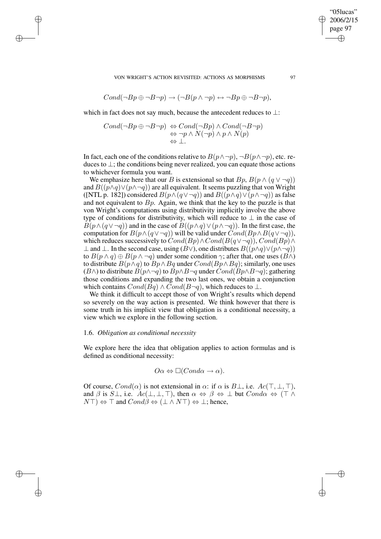VON WRIGHT'S ACTION REVISITED: ACTIONS AS MORPHISMS 97

$$
Cond(\neg Bp \oplus \neg B\neg p) \rightarrow (\neg B(p \land \neg p) \leftrightarrow \neg Bp \oplus \neg B\neg p),
$$

which in fact does not say much, because the antecedent reduces to ⊥:

$$
Cond(\neg Bp \oplus \neg B\neg p) \Leftrightarrow Cond(\neg Bp) \land Cond(\neg B\neg p)
$$
  

$$
\Leftrightarrow \neg p \land N(\neg p) \land p \land N(p)
$$
  

$$
\Leftrightarrow \bot.
$$

In fact, each one of the conditions relative to  $B(p \wedge \neg p)$ ,  $\neg B(p \wedge \neg p)$ , etc. reduces to ⊥; the conditions being never realized, you can equate those actions to whichever formula you want.

We emphasize here that our B is extensional so that  $B_p$ ,  $B(p \wedge (q \vee \neg q))$ and  $B((p \wedge q) \vee (p \wedge \neg q))$  are all equivalent. It seems puzzling that von Wright ([NTL p. 182]) considered  $B(p \wedge (q \vee \neg q))$  and  $B((p \wedge q) \vee (p \wedge \neg q))$  as false and not equivalent to  $B_p$ . Again, we think that the key to the puzzle is that von Wright's computations using distributivity implicitly involve the above type of conditions for distributivity, which will reduce to  $\perp$  in the case of  $B(p \wedge (q \vee \neg q))$  and in the case of  $B((p \wedge q) \vee (p \wedge \neg q))$ . In the first case, the computation for  $B(p \land (q \lor \neg q))$  will be valid under  $Cond(Bp \land B(q \lor \neg q))$ , which reduces successively to  $Cond(Bp) \wedge Cond(B(q \vee \neg q))$ ,  $Cond(Bp) \wedge$ ⊥ and ⊥. In the second case, using  $(B\vee)$ , one distributes  $B((p\wedge q)\vee (p\wedge \neg q))$ to  $B(p \wedge q) \oplus B(p \wedge \neg q)$  under some condition  $\gamma$ ; after that, one uses  $(B \wedge)$ to distribute  $B(p \wedge q)$  to  $Bp \wedge Bq$  under  $Cond(Bp \wedge Bq)$ ; similarly, one uses  $(B \wedge)$  to distribute  $B(p \wedge \neg q)$  to  $Bp \wedge B\neg q$  under  $Cond(Bp \wedge B\neg q)$ ; gathering those conditions and expanding the two last ones, we obtain a conjunction which contains  $Cond(Bq) \wedge Cond(B\neg q)$ , which reduces to  $\perp$ .

We think it difficult to accept those of von Wright's results which depend so severely on the way action is presented. We think however that there is some truth in his implicit view that obligation is a conditional necessity, a view which we explore in the following section.

# 1.6. *Obligation as conditional necessity*

We explore here the idea that obligation applies to action formulas and is defined as conditional necessity:

$$
O\alpha \Leftrightarrow \Box (Cond\alpha \to \alpha).
$$

Of course,  $Cond(\alpha)$  is not extensional in  $\alpha$ : if  $\alpha$  is  $B\bot$ , i.e.  $Ac(\top, \bot, \top)$ , and  $\beta$  is  $S\bot$ , i.e.  $Ac(\bot,\bot,\top)$ , then  $\alpha \Leftrightarrow \beta \Leftrightarrow \bot$  but  $Cond\alpha \Leftrightarrow (\top \wedge \bot)$  $N\top$   $\Leftrightarrow$   $\top$  and  $Cond\beta \Leftrightarrow (\bot \wedge N\top) \Leftrightarrow \bot$ ; hence,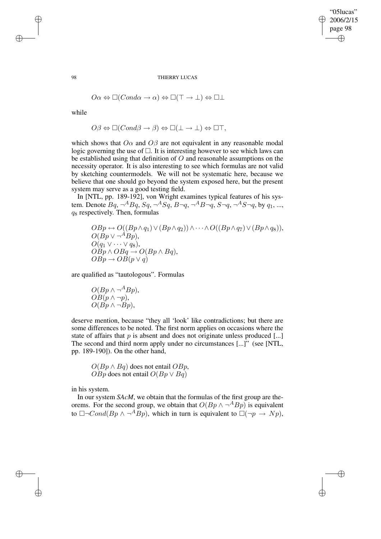$$
O\alpha \Leftrightarrow \Box (Cond\alpha \rightarrow \alpha) \Leftrightarrow \Box(\top \rightarrow \bot) \Leftrightarrow \Box \bot
$$

while

$$
O\beta \Leftrightarrow \Box (Cond\beta \to \beta) \Leftrightarrow \Box(\bot \to \bot) \Leftrightarrow \Box \top,
$$

which shows that  $O\alpha$  and  $O\beta$  are not equivalent in any reasonable modal logic governing the use of  $\Box$ . It is interesting however to see which laws can be established using that definition of  $O$  and reasonable assumptions on the necessity operator. It is also interesting to see which formulas are not valid by sketching countermodels. We will not be systematic here, because we believe that one should go beyond the system exposed here, but the present system may serve as a good testing field.

In [NTL, pp. 189-192], von Wright examines typical features of his system. Denote  $Bq$ ,  $\neg^A Bq$ ,  $Sq$ ,  $\neg^A Sq$ ,  $B\neg q$ ,  $\neg^A B\neg q$ ,  $S\neg q$ ,  $\neg^A S\neg q$ , by  $q_1$ , ...,  $q_8$  respectively. Then, formulas

 $OBp \leftrightarrow O((Bp \wedge q_1) \vee (Bp \wedge q_2)) \wedge \cdots \wedge O((Bp \wedge q_7) \vee (Bp \wedge q_8)),$  $O(Bp \vee \neg^A Bp),$  $O(q_1 \vee \cdots \vee q_8),$  $OBp \wedge OBq \rightarrow O(Bp \wedge Bq),$  $OBp \rightarrow OB(p \vee q)$ 

are qualified as "tautologous". Formulas

$$
O(Bp \land \neg^{A} Bp),
$$
  
\n
$$
OB(p \land \neg p),
$$
  
\n
$$
O(Bp \land \neg Bp),
$$

deserve mention, because "they all 'look' like contradictions; but there are some differences to be noted. The first norm applies on occasions where the state of affairs that  $p$  is absent and does not originate unless produced [...] The second and third norm apply under no circumstances [...]" (see [NTL, pp. 189-190]). On the other hand,

$$
O(Bp \land Bq)
$$
 does not entail  $OBp$ ,  
 $OBp$  does not entail  $O(Bp \lor Bq)$ 

in his system.

In our system *SAcM*, we obtain that the formulas of the first group are theorems. For the second group, we obtain that  $O(Bp \wedge \neg^A Bp)$  is equivalent to  $\Box \neg Cond(Bp \land \neg^A Bp)$ , which in turn is equivalent to  $\Box(\neg p \rightarrow Np)$ ,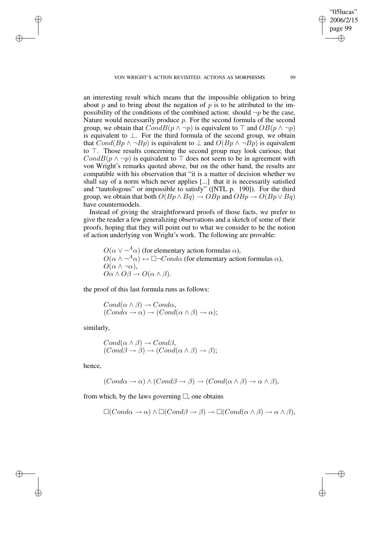VON WRIGHT'S ACTION REVISITED: ACTIONS AS MORPHISMS 99

an interesting result which means that the impossible obligation to bring about p and to bring about the negation of p is to be attributed to the impossibility of the conditions of the combined action: should  $\neg p$  be the case, Nature would necessarily produce  $p$ . For the second formula of the second group, we obtain that  $CondB(p \wedge \neg p)$  is equivalent to  $\top$  and  $OB(p \wedge \neg p)$ is equivalent to ⊥. For the third formula of the second group, we obtain that  $Cond(Bp \wedge \neg Bp)$  is equivalent to  $\perp$  and  $O(Bp \wedge \neg Bp)$  is equivalent to  $\top$ . Those results concerning the second group may look curious; that  $CondB(p \wedge \neg p)$  is equivalent to  $\top$  does not seem to be in agreement with von Wright's remarks quoted above, but on the other hand, the results are compatible with his observation that "it is a matter of decision whether we shall say of a norm which never applies [...] that it is necessarily satisfied and "tautologous" or impossible to satisfy" ([NTL p. 190]). For the third group, we obtain that both  $O(Bp \wedge Bq) \to OBp$  and  $OBp \to O(Bp \vee Bq)$ have countermodels.

Instead of giving the straightforward proofs of those facts, we prefer to give the reader a few generalizing observations and a sketch of some of their proofs, hoping that they will point out to what we consider to be the notion of action underlying von Wright's work. The following are provable:

 $O(\alpha \vee \neg^A \alpha)$  (for elementary action formulas  $\alpha$ ),  $O(\alpha \wedge \neg^A \alpha) \leftrightarrow \Box \neg Cond\alpha$  (for elementary action formulas  $\alpha$ ),  $O(\alpha \wedge \neg \alpha),$  $O\alpha \wedge O\beta \to O(\alpha \wedge \beta).$ 

the proof of this last formula runs as follows:

 $Cond(\alpha \wedge \beta) \rightarrow Cond\alpha,$  $(Cond\alpha \to \alpha) \to (Cond(\alpha \land \beta) \to \alpha);$ 

similarly,

$$
Cond(\alpha \wedge \beta) \rightarrow Cond\beta,(Cond\beta \rightarrow \beta) \rightarrow (Cond(\alpha \wedge \beta) \rightarrow \beta);
$$

hence,

$$
(Cond\alpha \to \alpha) \land (Cond\beta \to \beta) \to (Cond(\alpha \land \beta) \to \alpha \land \beta),
$$

from which, by the laws governing  $\Box$ , one obtains

$$
\Box (Cond\alpha \to \alpha) \land \Box (Cond\beta \to \beta) \to \Box (Cond(\alpha \land \beta) \to \alpha \land \beta),
$$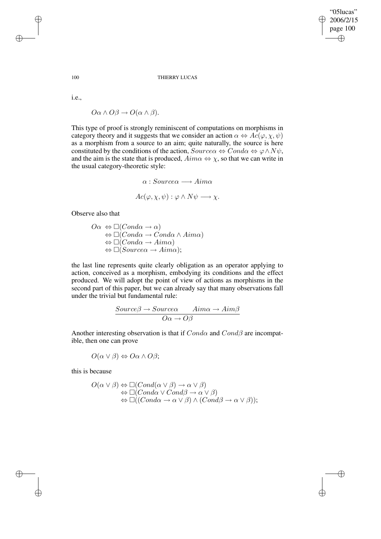## 100 THIERRY LUCAS

i.e.,

 $O\alpha \wedge O\beta \rightarrow O(\alpha \wedge \beta).$ 

This type of proof is strongly reminiscent of computations on morphisms in category theory and it suggests that we consider an action  $\alpha \Leftrightarrow Ac(\varphi, \chi, \psi)$ as a morphism from a source to an aim; quite naturally, the source is here constituted by the conditions of the action,  $Source\alpha \Leftrightarrow Cond\alpha \Leftrightarrow \varphi \wedge N\psi$ , and the aim is the state that is produced,  $Aima \Leftrightarrow \chi$ , so that we can write in the usual category-theoretic style:

$$
\alpha : Source\alpha \longrightarrow Aim\alpha
$$

$$
Ac(\varphi, \chi, \psi) : \varphi \land N\psi \longrightarrow \chi.
$$

Observe also that

$$
O\alpha \Leftrightarrow \Box(Conda \rightarrow \alpha)
$$
  
\n
$$
\Leftrightarrow \Box(Conda \rightarrow Cond\alpha \land Aima)
$$
  
\n
$$
\Leftrightarrow \Box(Conda \rightarrow Aima)
$$
  
\n
$$
\Leftrightarrow \Box(Source\alpha \rightarrow Aima);
$$

the last line represents quite clearly obligation as an operator applying to action, conceived as a morphism, embodying its conditions and the effect produced. We will adopt the point of view of actions as morphisms in the second part of this paper, but we can already say that many observations fall under the trivial but fundamental rule:

$$
\frac{Source\beta \to Source\alpha \quad Aim\alpha \to Aim\beta}{O\alpha \to O\beta}
$$

Another interesting observation is that if  $Cond\alpha$  and  $Cond\beta$  are incompatible, then one can prove

 $O(\alpha \vee \beta) \Leftrightarrow O\alpha \wedge O\beta;$ 

this is because

$$
O(\alpha \vee \beta) \Leftrightarrow \Box (Cond(\alpha \vee \beta) \rightarrow \alpha \vee \beta)
$$
  
\n
$$
\Leftrightarrow \Box (Cond\alpha \vee Cond\beta \rightarrow \alpha \vee \beta)
$$
  
\n
$$
\Leftrightarrow \Box ((Cond\alpha \rightarrow \alpha \vee \beta) \wedge (Cond\beta \rightarrow \alpha \vee \beta));
$$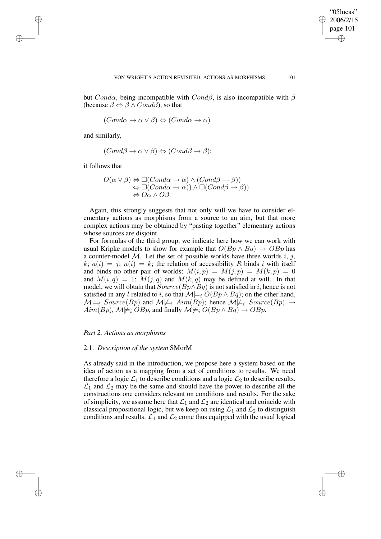"05lucas"

but Cond $\alpha$ , being incompatible with Cond $\beta$ , is also incompatible with  $\beta$ (because  $\beta \Leftrightarrow \beta \wedge Cond\bar{\beta}$ ), so that

$$
(Cond\alpha \to \alpha \lor \beta) \Leftrightarrow (Cond\alpha \to \alpha)
$$

and similarly,

 $(Cond\beta \rightarrow \alpha \vee \beta) \Leftrightarrow (Cond\beta \rightarrow \beta);$ 

it follows that

$$
O(\alpha \lor \beta) \Leftrightarrow \Box(Cond\alpha \to \alpha) \land (Cond\beta \to \beta))
$$
  

$$
\Leftrightarrow \Box(Cond\alpha \to \alpha)) \land \Box(Cond\beta \to \beta))
$$
  

$$
\Leftrightarrow O\alpha \land O\beta.
$$

Again, this strongly suggests that not only will we have to consider elementary actions as morphisms from a source to an aim, but that more complex actions may be obtained by "pasting together" elementary actions whose sources are disjoint.

For formulas of the third group, we indicate here how we can work with usual Kripke models to show for example that  $O(Bp \wedge Bq) \rightarrow OBp$  has a counter-model M. Let the set of possible worlds have three worlds i, j, k;  $a(i) = j$ ;  $n(i) = k$ ; the relation of accessibility R binds i with itself and binds no other pair of worlds;  $M(i, p) = M(j, p) = M(k, p) = 0$ and  $M(i, q) = 1$ ;  $M(j, q)$  and  $M(k, q)$  may be defined at will. In that model, we will obtain that  $Source(Bp \wedge Bq)$  is not satisfied in i, hence is not satisfied in any l related to i, so that  $\mathcal{M}|_{i} \bigcup_{i} O(Bp \wedge Bq)$ ; on the other hand,  $\mathcal{M}\models_i Source(Bp)$  and  $\mathcal{M}\not\models_i Aim(Bp)$ ; hence  $\mathcal{M}\not\models_i Source(Bp) \rightarrow$  $Aim(Bp)$ ,  $\mathcal{M}\not\models_i OBp$ , and finally  $\mathcal{M}\not\models_i O(Bp\wedge Bq)\to OBp$ .

### *Part 2. Actions as morphisms*

#### 2.1. *Description of the system* SMorM

As already said in the introduction, we propose here a system based on the idea of action as a mapping from a set of conditions to results. We need therefore a logic  $\mathcal{L}_1$  to describe conditions and a logic  $\mathcal{L}_2$  to describe results.  $\mathcal{L}_1$  and  $\mathcal{L}_2$  may be the same and should have the power to describe all the constructions one considers relevant on conditions and results. For the sake of simplicity, we assume here that  $\mathcal{L}_1$  and  $\mathcal{L}_2$  are identical and coincide with classical propositional logic, but we keep on using  $\mathcal{L}_1$  and  $\mathcal{L}_2$  to distinguish conditions and results.  $\mathcal{L}_1$  and  $\mathcal{L}_2$  come thus equipped with the usual logical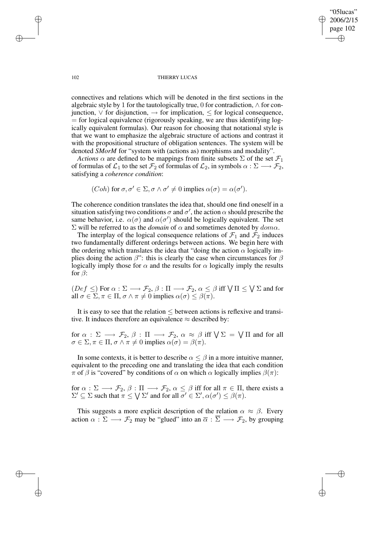connectives and relations which will be denoted in the first sections in the algebraic style by 1 for the tautologically true, 0 for contradiction,  $\land$  for conjunction,  $∨$  for disjunction,  $→$  for implication,  $≤$  for logical consequence,  $=$  for logical equivalence (rigorously speaking, we are thus identifying logically equivalent formulas). Our reason for choosing that notational style is that we want to emphasize the algebraic structure of actions and contrast it with the propositional structure of obligation sentences. The system will be denoted *SMorM* for "system with (actions as) morphisms and modality".

*Actions*  $\alpha$  are defined to be mappings from finite subsets  $\Sigma$  of the set  $\mathcal{F}_1$ of formulas of  $\mathcal{L}_1$  to the set  $\mathcal{F}_2$  of formulas of  $\mathcal{L}_2$ , in symbols  $\alpha : \Sigma \longrightarrow \mathcal{F}_2$ , satisfying a *coherence condition*:

(*Coh*) for 
$$
\sigma, \sigma' \in \Sigma, \sigma \wedge \sigma' \neq 0
$$
 implies  $\alpha(\sigma) = \alpha(\sigma')$ .

The coherence condition translates the idea that, should one find oneself in a situation satisfying two conditions  $\sigma$  and  $\sigma'$ , the action  $\alpha$  should prescribe the same behavior, i.e.  $\alpha(\sigma)$  and  $\alpha(\sigma')$  should be logically equivalent. The set  $\Sigma$  will be referred to as the *domain* of  $\alpha$  and sometimes denoted by *domα*.

The interplay of the logical consequence relations of  $\mathcal{F}_1$  and  $\mathcal{F}_2$  induces two fundamentally different orderings between actions. We begin here with the ordering which translates the idea that "doing the action  $\alpha$  logically implies doing the action  $\beta$ ": this is clearly the case when circumstances for  $\beta$ logically imply those for  $\alpha$  and the results for  $\alpha$  logically imply the results for  $\beta$ :

 $(Def \leq)$  For  $\alpha : \Sigma \longrightarrow \mathcal{F}_2$ ,  $\beta : \Pi \longrightarrow \mathcal{F}_2$ ,  $\alpha \leq \beta$  iff  $\bigvee \Pi \leq \bigvee \Sigma$  and for all  $\sigma \in \Sigma, \pi \in \Pi, \sigma \wedge \pi \neq 0$  implies  $\alpha(\sigma) \leq \beta(\pi)$ .

It is easy to see that the relation  $\leq$  between actions is reflexive and transitive. It induces therefore an equivalence  $\approx$  described by:

for  $\alpha$  :  $\Sigma$   $\longrightarrow$   $\mathcal{F}_2$ ,  $\beta$  :  $\Pi$   $\longrightarrow$   $\mathcal{F}_2$ ,  $\alpha$   $\approx$   $\beta$  iff  $\sqrt{\Sigma}$  =  $\sqrt{\Pi}$  and for all  $\sigma \in \Sigma, \pi \in \Pi, \sigma \wedge \pi \neq 0$  implies  $\alpha(\sigma) = \beta(\pi)$ .

In some contexts, it is better to describe  $\alpha \leq \beta$  in a more intuitive manner, equivalent to the preceding one and translating the idea that each condition π of β is "covered" by conditions of  $\alpha$  on which  $\alpha$  logically implies  $\beta(\pi)$ :

for  $\alpha : \Sigma \longrightarrow \mathcal{F}_2$ ,  $\beta : \Pi \longrightarrow \mathcal{F}_2$ ,  $\alpha \leq \beta$  iff for all  $\pi \in \Pi$ , there exists a  $\Sigma' \subseteq \Sigma$  such that  $\pi \leq \bigvee \Sigma'$  and for all  $\sigma' \in \Sigma', \alpha(\sigma') \leq \beta(\pi)$ .

This suggests a more explicit description of the relation  $\alpha \approx \beta$ . Every action  $\alpha : \Sigma \longrightarrow \mathcal{F}_2$  may be "glued" into an  $\overline{\alpha} : \overline{\Sigma} \longrightarrow \mathcal{F}_2$ , by grouping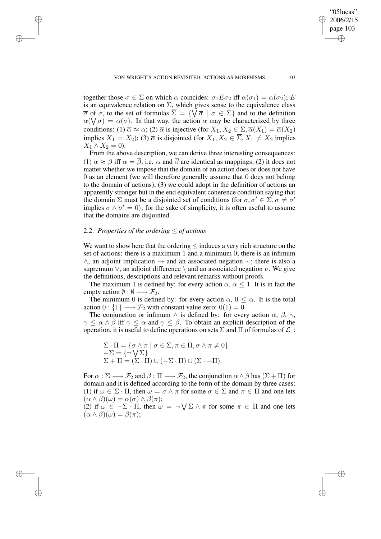together those  $\sigma \in \Sigma$  on which  $\alpha$  coincides:  $\sigma_1 E \sigma_2$  iff  $\alpha(\sigma_1) = \alpha(\sigma_2)$ ; E is an equivalence relation on  $\Sigma$ , which gives sense to the equivalence class  $\overline{\sigma}$  of  $\sigma$ , to the set of formulas  $\Sigma = \{ \forall \overline{\sigma} \mid \sigma \in \Sigma \}$  and to the definition  $\overline{\alpha}(\nabla \overline{\sigma}) = \alpha(\sigma)$ . In that way, the action  $\overline{\alpha}$  may be characterized by three conditions: (1)  $\overline{\alpha} \approx \alpha$ ; (2)  $\overline{\alpha}$  is injective (for  $X_1, X_2 \in \overline{\Sigma}, \overline{\alpha}(X_1) = \overline{\alpha}(X_2)$ implies  $X_1 = X_2$ ); (3)  $\overline{\alpha}$  is disjointed (for  $X_1, X_2 \in \overline{\Sigma}, X_1 \neq X_2$  implies  $X_1 \wedge X_2 = 0$ ).

From the above description, we can derive three interesting consequences: (1)  $\alpha \approx \beta$  iff  $\overline{\alpha} = \overline{\beta}$ , i.e.  $\overline{\alpha}$  and  $\overline{\beta}$  are identical as mappings; (2) it does not matter whether we impose that the domain of an action does or does not have 0 as an element (we will therefore generally assume that 0 does not belong to the domain of actions); (3) we could adopt in the definition of actions an apparently stronger but in the end equivalent coherence condition saying that the domain  $\Sigma$  must be a disjointed set of conditions (for  $\sigma, \sigma' \in \Sigma, \sigma \neq \sigma'$ implies  $\sigma \wedge \sigma' = 0$ ); for the sake of simplicity, it is often useful to assume that the domains are disjointed.

# 2.2. Properties of the ordering  $\leq$  of actions

We want to show here that the ordering  $\leq$  induces a very rich structure on the set of actions: there is a maximum 1 and a minimum 0; there is an infimum  $\land$ , an adjoint implication  $\rightarrow$  and an associated negation  $\sim$ ; there is also a supremum  $\vee$ , an adjoint difference  $\setminus$  and an associated negation  $\nu$ . We give the definitions, descriptions and relevant remarks without proofs.

The maximum 1 is defined by: for every action  $\alpha$ ,  $\alpha \leq 1$ . It is in fact the empty action  $\emptyset : \emptyset \longrightarrow \mathcal{F}_2$ .

The minimum 0 is defined by: for every action  $\alpha$ ,  $0 \leq \alpha$ . It is the total action  $0: \{1\} \longrightarrow \mathcal{F}_2$  with constant value zero:  $0(1) = 0$ .

The conjunction or infimum  $\wedge$  is defined by: for every action  $\alpha$ ,  $\beta$ ,  $\gamma$ ,  $\gamma \leq \alpha \wedge \beta$  iff  $\gamma \leq \alpha$  and  $\gamma \leq \beta$ . To obtain an explicit description of the operation, it is useful to define operations on sets  $\Sigma$  and  $\Pi$  of formulas of  $\mathcal{L}_1$ :

$$
\Sigma \cdot \Pi = \{ \sigma \wedge \pi \mid \sigma \in \Sigma, \pi \in \Pi, \sigma \wedge \pi \neq 0 \}
$$
  
-
$$
\Sigma = \{ \neg \bigvee \Sigma \}
$$
  

$$
\Sigma + \Pi = (\Sigma \cdot \Pi) \cup (-\Sigma \cdot \Pi) \cup (\Sigma \cdot -\Pi).
$$

For  $\alpha : \Sigma \longrightarrow \mathcal{F}_2$  and  $\beta : \Pi \longrightarrow \mathcal{F}_2$ , the conjunction  $\alpha \wedge \beta$  has  $(\Sigma + \Pi)$  for domain and it is defined according to the form of the domain by three cases: (1) if  $\omega \in \Sigma \cdot \Pi$ , then  $\omega = \sigma \wedge \pi$  for some  $\sigma \in \Sigma$  and  $\pi \in \Pi$  and one lets  $(\alpha \wedge \beta)(\omega) = \alpha(\sigma) \wedge \beta(\pi);$ 

(2) if  $\omega \in -\Sigma \cdot \Pi$ , then  $\omega = \neg \bigvee \Sigma \wedge \pi$  for some  $\pi \in \Pi$  and one lets  $(\alpha \wedge \beta)(\omega) = \beta(\pi);$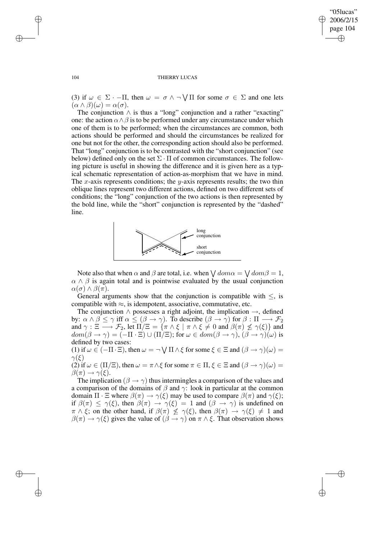⊕

#### 104 THIERRY LUCAS

(3) if  $\omega \in \Sigma \cdot -\Pi$ , then  $\omega = \sigma \wedge \neg \bigvee \Pi$  for some  $\sigma \in \Sigma$  and one lets  $(\alpha \wedge \beta)(\omega) = \alpha(\sigma).$ 

The conjunction  $\wedge$  is thus a "long" conjunction and a rather "exacting" one: the action  $\alpha \wedge \beta$  is to be performed under any circumstance under which one of them is to be performed; when the circumstances are common, both actions should be performed and should the circumstances be realized for one but not for the other, the corresponding action should also be performed. That "long" conjunction is to be contrasted with the "short conjunction" (see below) defined only on the set  $\Sigma \cdot \Pi$  of common circumstances. The following picture is useful in showing the difference and it is given here as a typical schematic representation of action-as-morphism that we have in mind. The x-axis represents conditions; the y-axis represents results; the two thin oblique lines represent two different actions, defined on two different sets of conditions; the "long" conjunction of the two actions is then represented by the bold line, while the "short" conjunction is represented by the "dashed" line.



Note also that when  $\alpha$  and  $\beta$  are total, i.e. when  $\bigvee dom \alpha = \bigvee dom \beta = 1$ ,  $\alpha \wedge \beta$  is again total and is pointwise evaluated by the usual conjunction  $\alpha(\sigma) \wedge \beta(\pi)$ .

General arguments show that the conjunction is compatible with  $\leq$ , is compatible with  $\approx$ , is idempotent, associative, commutative, etc.

The conjunction  $\land$  possesses a right adjoint, the implication  $\rightarrow$ , defined by:  $\alpha \wedge \beta \leq \gamma$  iff  $\alpha \leq (\beta \to \gamma)$ . To describe  $(\beta \to \gamma)$  for  $\beta : \Pi \longrightarrow \mathcal{F}_2$ and  $\gamma: \Xi \longrightarrow \mathcal{F}_2$ , let  $\Pi/\Xi = \{ \pi \wedge \xi \mid \pi \wedge \xi \neq 0 \text{ and } \beta(\pi) \not\leq \gamma(\xi) \}$  and  $dom(\beta \to \gamma) = (-\Pi \cdot \Xi) \cup (\Pi \setminus \Xi)$ ; for  $\omega \in dom(\beta \to \gamma)$ ,  $(\beta \to \gamma)(\omega)$  is defined by two cases:

(1) if  $\omega \in (-\Pi \cdot \Xi)$ , then  $\omega = \neg \bigvee \Pi \wedge \xi$  for some  $\xi \in \Xi$  and  $(\beta \to \gamma)(\omega) =$  $\gamma(\xi)$ (2) if  $\omega \in (\Pi/\Xi)$ , then  $\omega = \pi \wedge \xi$  for some  $\pi \in \Pi$ ,  $\xi \in \Xi$  and  $(\beta \to \gamma)(\omega) =$ 

 $\beta(\pi) \rightarrow \gamma(\xi)$ .

The implication ( $\beta \rightarrow \gamma$ ) thus intermingles a comparison of the values and a comparison of the domains of  $\beta$  and  $\gamma$ : look in particular at the common domain  $\Pi \cdot \Xi$  where  $\beta(\pi) \to \gamma(\xi)$  may be used to compare  $\beta(\pi)$  and  $\gamma(\xi)$ ; if  $\beta(\pi) \leq \gamma(\xi)$ , then  $\beta(\pi) \to \gamma(\xi) = 1$  and  $(\beta \to \gamma)$  is undefined on  $\pi \wedge \xi$ ; on the other hand, if  $\beta(\pi) \not\leq \gamma(\xi)$ , then  $\beta(\pi) \rightarrow \gamma(\xi) \neq 1$  and  $\beta(\pi) \to \gamma(\xi)$  gives the value of  $(\beta \to \gamma)$  on  $\pi \wedge \xi$ . That observation shows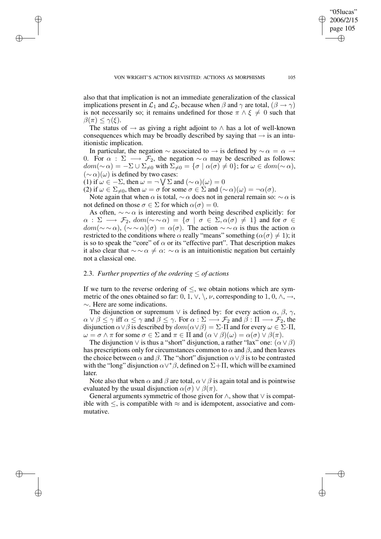also that that implication is not an immediate generalization of the classical implications present in  $\mathcal{L}_1$  and  $\mathcal{L}_2$ , because when  $\beta$  and  $\gamma$  are total,  $(\beta \rightarrow \gamma)$ is not necessarily so; it remains undefined for those  $\pi \wedge \xi \neq 0$  such that  $\beta(\pi) < \gamma(\xi)$ .

The status of  $\rightarrow$  as giving a right adjoint to  $\land$  has a lot of well-known consequences which may be broadly described by saying that  $\rightarrow$  is an intuitionistic implication.

In particular, the negation  $\sim$  associated to  $\rightarrow$  is defined by  $\sim \alpha = \alpha \rightarrow$ 0. For  $\alpha : \Sigma \longrightarrow \mathcal{F}_2$ , the negation  $\sim \alpha$  may be described as follows:  $dom(\sim \alpha) = -\Sigma \cup \Sigma_{\neq 0}$  with  $\Sigma_{\neq 0} = {\sigma | \alpha(\sigma) \neq 0}$ ; for  $\omega \in dom(\sim \alpha)$ ,  $({\sim}\alpha)(\omega)$  is defined by two cases:

(1) if  $\omega \in -\Sigma$ , then  $\omega = \neg \bigvee \Sigma$  and  $(\sim \alpha)(\omega) = 0$ 

(2) if  $\omega \in \Sigma_{\neq 0}$ , then  $\omega = \sigma$  for some  $\sigma \in \Sigma$  and  $(\sim \alpha)(\omega) = \neg \alpha(\sigma)$ .

Note again that when  $\alpha$  is total,  $\sim \alpha$  does not in general remain so:  $\sim \alpha$  is not defined on those  $\sigma \in \Sigma$  for which  $\alpha(\sigma) = 0$ .

As often,  $\sim \sim \alpha$  is interesting and worth being described explicitly: for  $\alpha : \Sigma \longrightarrow \mathcal{F}_2$ ,  $dom(\sim \sim \alpha) = {\sigma \mid \sigma \in \Sigma, \alpha(\sigma) \neq 1}$  and for  $\sigma \in$  $dom(\sim \sim \alpha)$ ,  $(\sim \sim \alpha)(\sigma) = \alpha(\sigma)$ . The action  $\sim \sim \alpha$  is thus the action  $\alpha$ restricted to the conditions where  $\alpha$  really "means" something ( $\alpha(\sigma) \neq 1$ ); it is so to speak the "core" of  $\alpha$  or its "effective part". That description makes it also clear that  $\sim \alpha \neq \alpha$ : ∼  $\alpha$  is an intuitionistic negation but certainly not a classical one.

# 2.3. *Further properties of the ordering*  $\leq$  *of actions*

If we turn to the reverse ordering of  $\leq$ , we obtain notions which are symmetric of the ones obtained so far: 0, 1,  $\vee$ ,  $\setminus$ ,  $\nu$ , corresponding to 1, 0,  $\land$ ,  $\rightarrow$ , ∼. Here are some indications.

The disjunction or supremum  $\vee$  is defined by: for every action  $\alpha$ ,  $\beta$ ,  $\gamma$ ,  $\alpha \vee \beta \leq \gamma$  iff  $\alpha \leq \gamma$  and  $\beta \leq \gamma$ . For  $\alpha : \Sigma \longrightarrow \mathcal{F}_2$  and  $\beta : \Pi \longrightarrow \mathcal{F}_2$ , the disjunction  $\alpha \vee \beta$  is described by  $dom(\alpha \vee \beta) = \Sigma \cdot \Pi$  and for every  $\omega \in \Sigma \cdot \Pi$ ,  $\omega = \sigma \wedge \pi$  for some  $\sigma \in \Sigma$  and  $\pi \in \Pi$  and  $(\alpha \vee \beta)(\omega) = \alpha(\sigma) \vee \beta(\pi)$ .

The disjunction  $\vee$  is thus a "short" disjunction, a rather "lax" one:  $(\alpha \vee \beta)$ has prescriptions only for circumstances common to  $\alpha$  and  $\beta$ , and then leaves the choice between  $\alpha$  and  $\beta$ . The "short" disjunction  $\alpha \vee \beta$  is to be contrasted with the "long" disjunction  $\alpha \vee^* \beta$ , defined on  $\Sigma + \Pi$ , which will be examined later.

Note also that when  $\alpha$  and  $\beta$  are total,  $\alpha \vee \beta$  is again total and is pointwise evaluated by the usual disjunction  $\alpha(\sigma) \vee \beta(\pi)$ .

General arguments symmetric of those given for  $\land$ , show that  $\lor$  is compatible with  $\le$ , is compatible with  $\approx$  and is idempotent, associative and commutative.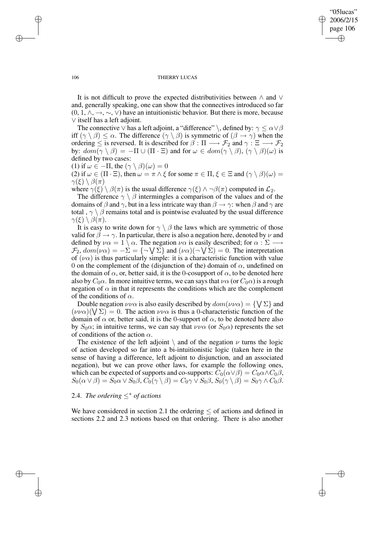It is not difficult to prove the expected distributivities between ∧ and ∨ and, generally speaking, one can show that the connectives introduced so far  $(0, 1, \wedge, \rightarrow, \sim, \vee)$  have an intuitionistic behavior. But there is more, because ∨ itself has a left adjoint.

The connective  $\vee$  has a left adjoint, a "difference" \, defined by:  $\gamma \leq \alpha \vee \beta$ iff  $(\gamma \setminus \beta) \leq \alpha$ . The difference  $(\gamma \setminus \beta)$  is symmetric of  $(\beta \to \gamma)$  when the ordering  $\leq$  is reversed. It is described for  $\beta : \Pi \longrightarrow \mathcal{F}_2$  and  $\gamma : \Xi \longrightarrow \mathcal{F}_2$ by:  $dom(\gamma \setminus \beta) = -\Pi \cup (\Pi \cdot \Xi)$  and for  $\omega \in dom(\gamma \setminus \beta)$ ,  $(\gamma \setminus \beta)(\omega)$  is defined by two cases:

(1) if 
$$
\omega \in -\Pi
$$
, the  $(\gamma \setminus \beta)(\omega) = 0$ 

(2) if  $\omega \in (\Pi \cdot \Xi)$ , then  $\omega = \pi \wedge \xi$  for some  $\pi \in \Pi$ ,  $\xi \in \Xi$  and  $(\gamma \setminus \beta)(\omega) =$  $\gamma(\xi) \setminus \beta(\pi)$ 

where  $\gamma(\xi) \setminus \beta(\pi)$  is the usual difference  $\gamma(\xi) \wedge \neg \beta(\pi)$  computed in  $\mathcal{L}_2$ .

The difference  $\gamma \setminus \beta$  intermingles a comparison of the values and of the domains of  $\beta$  and  $\gamma$ , but in a less intricate way than  $\beta \rightarrow \gamma$ : when  $\beta$  and  $\gamma$  are total,  $\gamma \setminus \beta$  remains total and is pointwise evaluated by the usual difference  $\gamma(\xi) \setminus \beta(\pi)$ .

It is easy to write down for  $\gamma \setminus \beta$  the laws which are symmetric of those valid for  $\beta \rightarrow \gamma$ . In particular, there is also a negation here, denoted by  $\nu$  and defined by  $\nu \alpha = 1 \overline{\setminus} \alpha$ . The negation  $\nu \alpha$  is easily described; for  $\alpha : \Sigma \longrightarrow$  $\mathcal{F}_2$ ,  $dom(\nu \alpha) = -\Sigma = {\neg \bigvee \Sigma}$  and  $(\nu \alpha)(\neg \bigvee \Sigma) = 0$ . The interpretation of  $(\nu \alpha)$  is thus particularly simple: it is a characteristic function with value 0 on the complement of the (disjunction of the) domain of  $\alpha$ , undefined on the domain of  $\alpha$ , or, better said, it is the 0-cosupport of  $\alpha$ , to be denoted here also by  $C_0\alpha$ . In more intuitive terms, we can says that  $\nu\alpha$  (or  $C_0\alpha$ ) is a rough negation of  $\alpha$  in that it represents the conditions which are the complement of the conditions of  $\alpha$ .

Double negation  $\nu\nu\alpha$  is also easily described by  $dom(\nu\nu\alpha) = {\{\}\Sigma\}$  and  $(\nu\nu\alpha)(\nabla\Sigma) = 0$ . The action  $\nu\nu\alpha$  is thus a 0-characteristic function of the domain of  $\alpha$  or, better said, it is the 0-support of  $\alpha$ , to be denoted here also by  $S_0\alpha$ ; in intuitive terms, we can say that  $\nu\nu\alpha$  (or  $S_0\alpha$ ) represents the set of conditions of the action  $\alpha$ .

The existence of the left adjoint  $\setminus$  and of the negation  $\nu$  turns the logic of action developed so far into a bi-intuitionistic logic (taken here in the sense of having a difference, left adjoint to disjunction, and an associated negation), but we can prove other laws, for example the following ones, which can be expected of supports and co-supports:  $C_0(\alpha \vee \beta) = C_0\alpha \wedge C_0\beta$ ,  $S_0(\alpha\vee\beta)=S_0\alpha\vee S_0\beta, C_0(\gamma\setminus\beta)=C_0\gamma\vee S_0\beta, S_0(\gamma\setminus\beta)=S_0\gamma\wedge C_0\beta.$ 

# 2.4. *The ordering* ≤<sup>∗</sup> *of actions*

We have considered in section 2.1 the ordering  $\leq$  of actions and defined in sections 2.2 and 2.3 notions based on that ordering. There is also another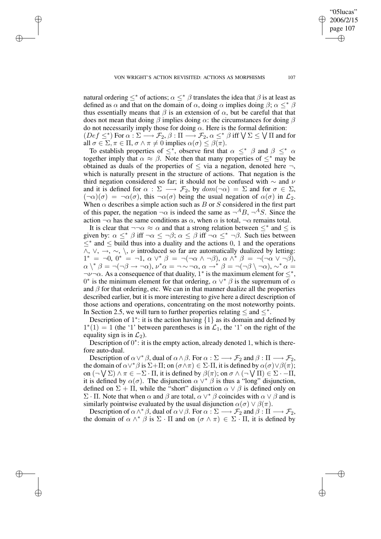natural ordering  $\leq^*$  of actions;  $\alpha \leq^* \beta$  translates the idea that  $\beta$  is at least as defined as  $\alpha$  and that on the domain of  $\alpha$ , doing  $\alpha$  implies doing  $\beta$ ;  $\alpha \leq^* \beta$ thus essentially means that  $\beta$  is an extension of  $\alpha$ , but be careful that that does not mean that doing  $\beta$  implies doing  $\alpha$ : the circumstances for doing  $\beta$ do not necessarily imply those for doing  $\alpha$ . Here is the formal definition:  $(Def \leq^*)$  For  $\alpha : \Sigma \longrightarrow \mathcal{F}_2$ ,  $\beta : \Pi \longrightarrow \mathcal{F}_2$ ,  $\alpha \leq^* \beta$  iff  $\bigvee \Sigma \leq \bigvee \Pi$  and for

all  $\sigma \in \Sigma$ ,  $\pi \in \Pi$ ,  $\sigma \wedge \pi \neq 0$  implies  $\alpha(\sigma) \leq \beta(\pi)$ . To establish properties of  $\leq^*$ , observe first that  $\alpha \leq^* \beta$  and  $\beta \leq^* \alpha$ together imply that  $\alpha \approx \beta$ . Note then that many properties of  $\leq^*$  may be obtained as duals of the properties of  $\leq$  via a negation, denoted here  $\neg$ , which is naturally present in the structure of actions. That negation is the third negation considered so far; it should not be confused with  $\sim$  and  $\nu$ and it is defined for  $\alpha : \Sigma \longrightarrow \mathcal{F}_2$ , by  $dom(\neg \alpha) = \Sigma$  and for  $\sigma \in \Sigma$ ,  $(\neg \alpha)(\sigma) = \neg \alpha(\sigma)$ , this  $\neg \alpha(\sigma)$  being the usual negation of  $\alpha(\sigma)$  in  $\mathcal{L}_2$ . When  $\alpha$  describes a simple action such as  $B$  or  $S$  considered in the first part of this paper, the negation  $\neg \alpha$  is indeed the same as  $\neg^{A}B$ ,  $\neg^{A}S$ . Since the action  $\neg \alpha$  has the same conditions as  $\alpha$ , when  $\alpha$  is total,  $\neg \alpha$  remains total.

It is clear that  $\neg\neg\alpha \approx \alpha$  and that a strong relation between  $\leq^*$  and  $\leq$  is given by:  $\alpha \leq^* \beta$  iff  $\neg \alpha \leq \neg \beta$ ;  $\alpha \leq \beta$  iff  $\neg \alpha \leq^* \neg \beta$ . Such ties between ≤∗ and ≤ build thus into a duality and the actions 0, 1 and the operations  $\land$ ,  $\lor$ ,  $\rightarrow$ ,  $\sim$ ,  $\land$ ,  $\nu$  introduced so far are automatically dualized by letting:  $1^* = \neg 0, 0^* = \neg 1, \alpha \vee^* \beta = \neg(\neg \alpha \wedge \neg \beta), \alpha \wedge^* \beta = \neg(\neg \alpha \vee \neg \beta),$  $\alpha\setminus^*\beta=\neg(\neg \beta\rightarrow \neg \alpha), \nu^*\alpha=\neg \sim \neg \alpha, \alpha\rightarrow^*\beta=\neg(\neg \beta\setminus \neg \alpha), \sim^*\alpha=$  $\neg \nu \neg \alpha$ . As a consequence of that duality, 1<sup>\*</sup> is the maximum element for  $\leq^*$ , 0<sup>\*</sup> is the minimum element for that ordering,  $\alpha \vee^* \beta$  is the supremum of  $\alpha$ and  $\beta$  for that ordering, etc. We can in that manner dualize all the properties described earlier, but it is more interesting to give here a direct description of those actions and operations, concentrating on the most noteworthy points. In Section 2.5, we will turn to further properties relating  $\leq$  and  $\leq^*$ .

Description of  $1^*$ : it is the action having  $\{1\}$  as its domain and defined by  $1^*(1) = 1$  (the '1' between parentheses is in  $\mathcal{L}_1$ , the '1' on the right of the equality sign is in  $\mathcal{L}_2$ ).

Description of 0<sup>\*</sup>: it is the empty action, already denoted 1, which is therefore auto-dual.

Description of  $\alpha \vee^* \beta$ , dual of  $\alpha \wedge \beta$ . For  $\alpha : \Sigma \longrightarrow \mathcal{F}_2$  and  $\beta : \Pi \longrightarrow \mathcal{F}_2$ , the domain of  $\alpha \vee^* \beta$  is  $\Sigma + \Pi$ ; on  $(\sigma \wedge \pi) \in \Sigma$  ·  $\Pi$ , it is defined by  $\alpha(\sigma) \vee \beta(\pi)$ ; on  $(\neg \bigvee \Sigma) \land \pi \in -\Sigma \cdot \Pi$ , it is defined by  $\beta(\pi)$ ; on  $\sigma \land (\neg \bigvee \Pi) \in \Sigma \cdot -\Pi$ , it is defined by  $\alpha(\sigma)$ . The disjunction  $\alpha \vee^* \beta$  is thus a "long" disjunction, defined on  $\Sigma + \Pi$ , while the "short" disjunction  $\alpha \vee \beta$  is defined only on Σ · Π. Note that when  $\alpha$  and  $\beta$  are total,  $\alpha \vee^* \beta$  coincides with  $\alpha \vee \beta$  and is similarly pointwise evaluated by the usual disjunction  $\alpha(\sigma) \vee \beta(\pi)$ .

Description of  $\alpha \wedge^* \beta$ , dual of  $\alpha \vee \beta$ . For  $\alpha : \Sigma \longrightarrow \mathcal{F}_2$  and  $\beta : \Pi \longrightarrow \mathcal{F}_2$ , the domain of  $\alpha \wedge^* \beta$  is  $\Sigma \cdot \Pi$  and on  $(\sigma \wedge \pi) \in \Sigma \cdot \Pi$ , it is defined by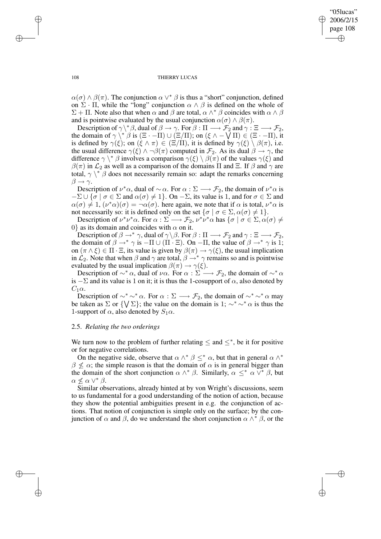$\alpha(\sigma) \wedge \beta(\pi)$ . The conjunction  $\alpha \vee^* \beta$  is thus a "short" conjunction, defined on  $\Sigma \cdot \Pi$ , while the "long" conjunction  $\alpha \wedge \beta$  is defined on the whole of  $\Sigma$  + Π. Note also that when  $\alpha$  and  $\beta$  are total,  $\alpha \wedge^* \beta$  coincides with  $\alpha \wedge \beta$ and is pointwise evaluated by the usual conjunction  $\alpha(\sigma) \wedge \beta(\pi)$ .

Description of  $\gamma \backslash^* \beta$ , dual of  $\beta \to \gamma$ . For  $\beta : \Pi \longrightarrow \mathcal{F}_2$  and  $\gamma : \Xi \longrightarrow \mathcal{F}_2$ , the domain of  $\gamma \setminus^* \beta$  is  $(\Xi \cdot -\Pi) \cup (\Xi/\Pi)$ ; on  $(\xi \wedge -\sqrt{\Pi}) \in (\Xi \cdot -\Pi)$ , it is defined by  $\gamma(\xi)$ ; on  $(\xi \wedge \pi) \in (\Xi/\Pi)$ , it is defined by  $\gamma(\xi) \setminus \beta(\pi)$ , i.e. the usual difference  $\gamma(\xi) \wedge \neg \beta(\pi)$  computed in  $\mathcal{F}_2$ . As its dual  $\beta \to \gamma$ , the difference  $\gamma \setminus^* \beta$  involves a comparison  $\gamma(\xi) \setminus \beta(\pi)$  of the values  $\gamma(\xi)$  and  $\beta(\pi)$  in  $\mathcal{L}_2$  as well as a comparison of the domains  $\Pi$  and  $\Xi$ . If  $\beta$  and  $\gamma$  are total,  $\gamma \setminus^* \beta$  does not necessarily remain so: adapt the remarks concerning  $\beta \rightarrow \gamma$ .

Description of  $\nu^*\alpha$ , dual of  $\sim \alpha$ . For  $\alpha : \Sigma \longrightarrow \mathcal{F}_2$ , the domain of  $\nu^*\alpha$  is  $-\Sigma \cup {\sigma \mid \sigma \in \Sigma \text{ and } \alpha(\sigma) \neq 1}.$  On  $-\Sigma$ , its value is 1, and for  $\sigma \in \Sigma$  and  $\alpha(\sigma) \neq 1$ ,  $(\nu^*\alpha)(\sigma) = \neg \alpha(\sigma)$ . here again, we note that if  $\alpha$  is total,  $\nu^*\alpha$  is not necessarily so: it is defined only on the set  $\{\sigma \mid \sigma \in \Sigma, \alpha(\sigma) \neq 1\}.$ 

Description of  $\nu^*\nu^*\alpha$ . For  $\alpha : \Sigma \longrightarrow \mathcal{F}_2$ ,  $\nu^*\nu^*\alpha$  has  $\{\sigma \mid \sigma \in \Sigma, \alpha(\sigma) \neq \emptyset\}$ 0} as its domain and coincides with  $\alpha$  on it.

Description of  $\beta \to^* \gamma$ , dual of  $\gamma \backslash \beta$ . For  $\beta : \Pi \longrightarrow \mathcal{F}_2$  and  $\gamma : \Xi \longrightarrow \mathcal{F}_2$ , the domain of  $\beta \rightarrow^* \gamma$  is  $-\Pi \cup (\Pi \cdot \Xi)$ . On  $-\Pi$ , the value of  $\beta \rightarrow^* \gamma$  is 1; on  $(\pi \wedge \xi) \in \Pi \cdot \Xi$ , its value is given by  $\beta(\pi) \rightarrow \gamma(\xi)$ , the usual implication in  $\mathcal{L}_2$ . Note that when  $\beta$  and  $\gamma$  are total,  $\beta \rightarrow^* \gamma$  remains so and is pointwise evaluated by the usual implication  $\beta(\pi) \rightarrow \gamma(\xi)$ .

Description of  $\sim^* \alpha$ , dual of  $\nu \alpha$ . For  $\alpha : \Sigma \longrightarrow \mathcal{F}_2$ , the domain of  $\sim^* \alpha$ is  $-\Sigma$  and its value is 1 on it; it is thus the 1-cosupport of  $\alpha$ , also denoted by  $C_1\alpha$ .

Description of  $\sim^* \sim^* \alpha$ . For  $\alpha : \Sigma \longrightarrow \mathcal{F}_2$ , the domain of  $\sim^* \sim^* \alpha$  may be taken as  $\Sigma$  or  $\{\setminus \Sigma\}$ ; the value on the domain is 1;  $\sim^* \sim^* \alpha$  is thus the 1-support of  $\alpha$ , also denoted by  $S_1\alpha$ .

# 2.5. *Relating the two orderings*

We turn now to the problem of further relating  $\leq$  and  $\leq^*$ , be it for positive or for negative correlations.

On the negative side, observe that  $\alpha \wedge^* \beta \leq^* \alpha$ , but that in general  $\alpha \wedge^*$  $\beta \nleq \alpha$ ; the simple reason is that the domain of  $\alpha$  is in general bigger than the domain of the short conjunction  $\alpha \wedge^* \beta$ . Similarly,  $\alpha \leq^* \alpha \vee^* \beta$ , but  $\alpha \nleq \alpha \vee^* \beta$ .

Similar observations, already hinted at by von Wright's discussions, seem to us fundamental for a good understanding of the notion of action, because they show the potential ambiguities present in e.g. the conjunction of actions. That notion of conjunction is simple only on the surface; by the conjunction of  $\alpha$  and  $\beta$ , do we understand the short conjunction  $\alpha \wedge^* \beta$ , or the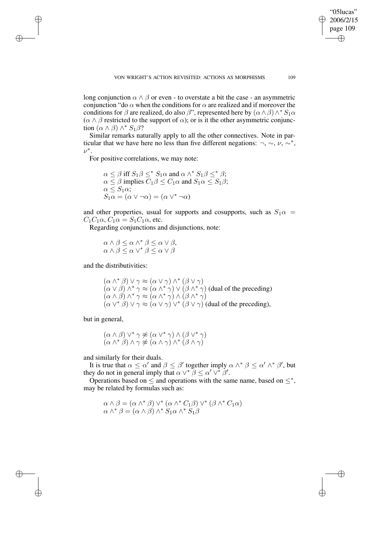long conjunction  $\alpha \wedge \beta$  or even - to overstate a bit the case - an asymmetric conjunction "do  $\alpha$  when the conditions for  $\alpha$  are realized and if moreover the conditions for  $\beta$  are realized, do also  $\beta$ ", represented here by  $(\alpha \wedge \beta) \wedge^* S_1 \alpha$  $(\alpha \wedge \beta$  restricted to the support of  $\alpha$ ); or is it the other asymmetric conjunction  $(\alpha \wedge \beta) \wedge^* S_1 \beta$ ?

Similar remarks naturally apply to all the other connectives. Note in particular that we have here no less than five different negations:  $\neg$ ,  $\sim$ ,  $\nu$ ,  $\neg^*$ ,  $\nu^*$ .

For positive correlations, we may note:

 $\alpha \leq \beta$  iff  $S_1 \beta \leq^* S_1 \alpha$  and  $\alpha \wedge^* S_1 \beta \leq^* \beta$ ;  $\alpha \le \beta$  implies  $C_1 \beta \le C_1 \alpha$  and  $S_1 \alpha \le S_1 \beta$ ;  $\alpha \leq S_1 \alpha$ ;  $S_1 \alpha = (\alpha \vee \neg \alpha) = (\alpha \vee^* \neg \alpha)$ 

and other properties, usual for supports and cosupports, such as  $S_1\alpha =$  $C_1C_1\alpha$ ,  $C_1\alpha = S_1C_1\alpha$ , etc.

Regarding conjunctions and disjunctions, note:

 $\alpha \wedge \beta \leq \alpha \wedge^* \beta \leq \alpha \vee \beta$ ,  $\alpha \wedge \beta \leq \alpha \vee^* \beta \leq \alpha \vee \beta$ 

and the distributivities:

 $(\alpha \wedge^* \beta) \vee \gamma \approx (\alpha \vee \gamma) \wedge^* (\beta \vee \gamma)$  $(\alpha \vee \beta) \wedge^* \gamma \approx (\alpha \wedge^* \gamma) \vee (\beta \wedge^* \gamma)$  (dual of the preceding)  $(\alpha \wedge \beta) \wedge^* \gamma \approx (\alpha \wedge^* \gamma) \wedge (\beta \wedge^* \gamma)$  $(\alpha \vee^* \beta) \vee \gamma \approx (\alpha \vee \gamma) \vee^* (\beta \vee \gamma)$  (dual of the preceding),

but in general,

$$
(\alpha \wedge \beta) \vee^* \gamma \not\approx (\alpha \vee^* \gamma) \wedge (\beta \vee^* \gamma)
$$
  

$$
(\alpha \wedge^* \beta) \wedge \gamma \not\approx (\alpha \wedge \gamma) \wedge^* (\beta \wedge \gamma)
$$

and similarly for their duals.

It is true that  $\alpha \leq \alpha'$  and  $\beta \leq \beta'$  together imply  $\alpha \wedge^* \beta \leq \alpha' \wedge^* \beta'$ , but they do not in general imply that  $\alpha \vee^* \beta \leq \alpha' \vee^* \beta'$ .

Operations based on  $\leq$  and operations with the same name, based on  $\leq^*$ , may be related by formulas such as:

$$
\alpha \wedge \beta = (\alpha \wedge^* \beta) \vee^* (\alpha \wedge^* C_1 \beta) \vee^* (\beta \wedge^* C_1 \alpha)
$$
  

$$
\alpha \wedge^* \beta = (\alpha \wedge \beta) \wedge^* S_1 \alpha \wedge^* S_1 \beta
$$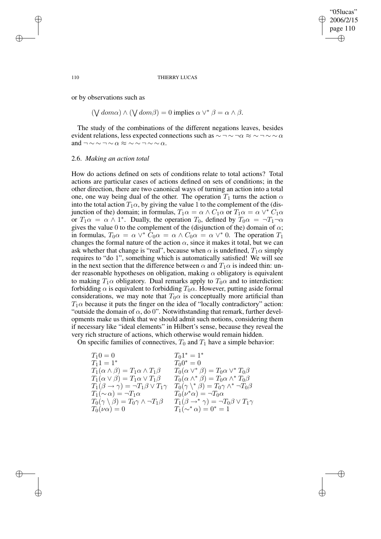#### 110 THIERRY LUCAS

or by observations such as

 $(\bigvee dom \alpha) \wedge (\bigvee dom \beta) = 0$  implies  $\alpha \vee^* \beta = \alpha \wedge \beta$ .

The study of the combinations of the different negations leaves, besides evident relations, less expected connections such as  $\sim$  ¬  $\sim$  ¬ $\alpha \approx$   $\sim$  ¬  $\sim$   $\alpha$ and  $\neg \sim \neg \sim \alpha \approx \sim \neg \sim \neg \sim \alpha$ .

# 2.6. *Making an action total*

How do actions defined on sets of conditions relate to total actions? Total actions are particular cases of actions defined on sets of conditions; in the other direction, there are two canonical ways of turning an action into a total one, one way being dual of the other. The operation  $T_1$  turns the action  $\alpha$ into the total action  $T_1\alpha$ , by giving the value 1 to the complement of the (disjunction of the) domain; in formulas,  $T_1 \alpha = \alpha \wedge C_1 \alpha$  or  $T_1 \alpha = \alpha \vee^* C_1 \alpha$ or  $T_1 \alpha = \alpha \wedge 1^*$ . Dually, the operation  $T_0$ , defined by  $T_0 \alpha = \neg T_1 \neg \alpha$ gives the value 0 to the complement of the (disjunction of the) domain of  $\alpha$ ; in formulas,  $T_0 \alpha = \alpha \vee^* \tilde{C}_0 \alpha = \alpha \wedge C_0 \alpha = \alpha \vee^* 0$ . The operation  $T_1$ changes the formal nature of the action  $\alpha$ , since it makes it total, but we can ask whether that change is "real", because when  $\alpha$  is undefined,  $T_1\alpha$  simply requires to "do 1", something which is automatically satisfied! We will see in the next section that the difference between  $\alpha$  and  $T_1\alpha$  is indeed thin: under reasonable hypotheses on obligation, making  $\alpha$  obligatory is equivalent to making  $T_1\alpha$  obligatory. Dual remarks apply to  $T_0\alpha$  and to interdiction: forbidding  $\alpha$  is equivalent to forbidding  $T_0\alpha$ . However, putting aside formal considerations, we may note that  $T_0\alpha$  is conceptually more artificial than  $T_1\alpha$  because it puts the finger on the idea of "locally contradictory" action: "outside the domain of  $\alpha$ , do 0". Notwithstanding that remark, further developments make us think that we should admit such notions, considering them if necessary like "ideal elements" in Hilbert's sense, because they reveal the very rich structure of actions, which otherwise would remain hidden.

On specific families of connectives,  $T_0$  and  $T_1$  have a simple behavior:

| $T_10 = 0$                                                       | $T_01^* = 1^*$                                                        |
|------------------------------------------------------------------|-----------------------------------------------------------------------|
| $T_11 = 1^*$                                                     | $T_00^* = 0$                                                          |
| $T_1(\alpha \wedge \beta) = T_1 \alpha \wedge T_1 \beta$         | $T_0(\alpha \vee^* \beta) = T_0 \alpha \vee^* T_0 \beta$              |
| $T_1(\alpha \vee \beta) = T_1 \alpha \vee T_1 \beta$             | $T_0(\alpha \wedge^* \beta) = T_0 \alpha \wedge^* T_0 \beta$          |
| $T_1(\beta \to \gamma) = \neg T_1 \beta \vee T_1 \gamma$         | $T_0(\gamma \backslash^* \beta) = T_0 \gamma \wedge^* \neg T_0 \beta$ |
| $T_1(\sim \alpha) = \neg T_1 \alpha$                             | $T_0(\nu^*\alpha) = \neg T_0\alpha$                                   |
| $T_0(\gamma \setminus \beta) = T_0 \gamma \wedge \neg T_1 \beta$ | $T_1(\beta \rightarrow^* \gamma) = \neg T_0 \beta \vee T_1 \gamma$    |
| $T_0(\nu\alpha)=0$                                               | $T_1(\sim^*\alpha) = 0^* = 1$                                         |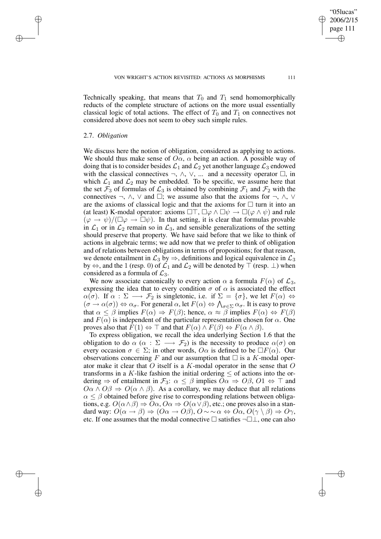Technically speaking, that means that  $T_0$  and  $T_1$  send homomorphically reducts of the complete structure of actions on the more usual essentially classical logic of total actions. The effect of  $T_0$  and  $T_1$  on connectives not considered above does not seem to obey such simple rules.

# 2.7. *Obligation*

We discuss here the notion of obligation, considered as applying to actions. We should thus make sense of  $O\alpha$ ,  $\alpha$  being an action. A possible way of doing that is to consider besides  $\mathcal{L}_1$  and  $\mathcal{L}_2$  yet another language  $\mathcal{L}_3$  endowed with the classical connectives  $\neg$ ,  $\wedge$ ,  $\vee$ , ... and a necessity operator  $\Box$ , in which  $\mathcal{L}_1$  and  $\mathcal{L}_2$  may be embedded. To be specific, we assume here that the set  $\mathcal{F}_3$  of formulas of  $\mathcal{L}_3$  is obtained by combining  $\mathcal{F}_1$  and  $\mathcal{F}_2$  with the connectives  $\neg$ ,  $\wedge$ ,  $\vee$  and  $\square$ ; we assume also that the axioms for  $\neg$ ,  $\wedge$ ,  $\vee$ are the axioms of classical logic and that the axioms for  $\Box$  turn it into an (at least) K-modal operator: axioms  $\Box \top$ ,  $\Box \varphi \land \Box \psi \rightarrow \Box (\varphi \land \psi)$  and rule  $(\varphi \to \psi)/(\square \varphi \to \square \psi)$ . In that setting, it is clear that formulas provable in  $\mathcal{L}_1$  or in  $\mathcal{L}_2$  remain so in  $\mathcal{L}_3$ , and sensible generalizations of the setting should preserve that property. We have said before that we like to think of actions in algebraic terms; we add now that we prefer to think of obligation and of relations between obligations in terms of propositions; for that reason, we denote entailment in  $\mathcal{L}_3$  by  $\Rightarrow$ , definitions and logical equivalence in  $\mathcal{L}_3$ by  $\Leftrightarrow$ , and the 1 (resp. 0) of  $\mathcal{L}_1$  and  $\mathcal{L}_2$  will be denoted by  $\top$  (resp.  $\bot$ ) when considered as a formula of  $\mathcal{L}_3$ .

We now associate canonically to every action  $\alpha$  a formula  $F(\alpha)$  of  $\mathcal{L}_3$ , expressing the idea that to every condition  $\sigma$  of  $\alpha$  is associated the effect  $\alpha(\sigma)$ . If  $\alpha : \Sigma \longrightarrow \mathcal{F}_2$  is singletonic, i.e. if  $\Sigma = {\sigma}$ , we let  $F(\alpha) \Leftrightarrow$  $(\sigma \to \alpha(\sigma)) \Leftrightarrow \alpha_{\sigma}$ . For general  $\alpha$ , let  $F(\alpha) \Leftrightarrow \bigwedge_{\sigma \in \Sigma} \alpha_{\sigma}$ . It is easy to prove that  $\alpha \leq \beta$  implies  $F(\alpha) \Rightarrow F(\beta)$ ; hence,  $\alpha \approx \beta$  implies  $F(\alpha) \Leftrightarrow F(\beta)$ and  $F(\alpha)$  is independent of the particular representation chosen for  $\alpha$ . One proves also that  $F(1) \Leftrightarrow \top$  and that  $F(\alpha) \wedge F(\beta) \Leftrightarrow F(\alpha \wedge \beta)$ .

To express obligation, we recall the idea underlying Section 1.6 that the obligation to do  $\alpha$  ( $\alpha : \Sigma \longrightarrow \mathcal{F}_2$ ) is the necessity to produce  $\alpha(\sigma)$  on every occasion  $\sigma \in \Sigma$ ; in other words,  $O\alpha$  is defined to be  $\Box F(\alpha)$ . Our observations concerning F and our assumption that  $\Box$  is a K-modal operator make it clear that O itself is a K-modal operator in the sense that  $O$ transforms in a K-like fashion the initial ordering  $\leq$  of actions into the ordering  $\Rightarrow$  of entailment in  $\mathcal{F}_3$ :  $\alpha \leq \beta$  implies  $O\alpha \Rightarrow O\beta$ ,  $O1 \Leftrightarrow \top$  and  $O\alpha \wedge O\beta \Rightarrow O(\alpha \wedge \beta)$ . As a corollary, we may deduce that all relations  $\alpha \leq \beta$  obtained before give rise to corresponding relations between obligations, e.g.  $O(\alpha \wedge \beta) \Rightarrow O\alpha$ ,  $O\alpha \Rightarrow O(\alpha \vee \beta)$ , etc.; one proves also in a standard way:  $O(\alpha \to \beta) \Rightarrow (O\alpha \to O\beta), O \sim \alpha \Leftrightarrow O\alpha, O(\gamma \setminus \beta) \Rightarrow O\gamma$ , etc. If one assumes that the modal connective  $\Box$  satisfies  $\neg \Box \bot$ , one can also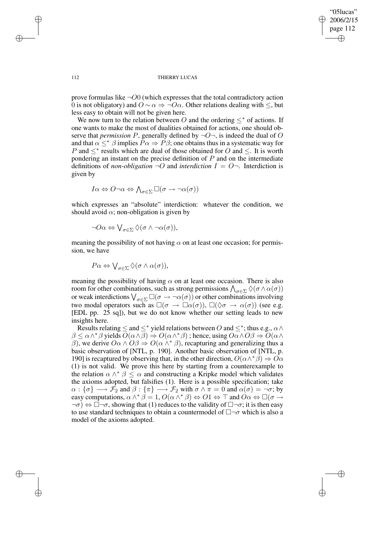prove formulas like  $\neg$ O0 (which expresses that the total contradictory action 0 is not obligatory) and  $O \sim \alpha \Rightarrow \neg O\alpha$ . Other relations dealing with  $\le$ , but less easy to obtain will not be given here.

We now turn to the relation between O and the ordering  $\leq^*$  of actions. If one wants to make the most of dualities obtained for actions, one should observe that *permission* P, generally defined by  $\neg O\neg$ , is indeed the dual of O and that  $\alpha \leq^* \beta$  implies  $P\alpha \Rightarrow P\beta$ ; one obtains thus in a systematic way for P and  $\leq^*$  results which are dual of those obtained for O and  $\leq$ . It is worth pondering an instant on the precise definition of  $P$  and on the intermediate definitions of *non-obligation*  $\neg O$  and *interdiction*  $I = O\neg$ . Interdiction is given by

$$
I\alpha \Leftrightarrow O \neg \alpha \Leftrightarrow \bigwedge\nolimits_{\sigma \in \Sigma} \Box(\sigma \rightarrow \neg \alpha(\sigma))
$$

which expresses an "absolute" interdiction: whatever the condition, we should avoid  $\alpha$ ; non-obligation is given by

$$
\neg O\alpha \Leftrightarrow \bigvee_{\sigma \in \Sigma} \Diamond(\sigma \wedge \neg \alpha(\sigma)),
$$

meaning the possibility of not having  $\alpha$  on at least one occasion; for permission, we have

$$
P\alpha \Leftrightarrow \bigvee_{\sigma \in \Sigma} \Diamond(\sigma \wedge \alpha(\sigma)),
$$

meaning the possibility of having  $\alpha$  on at least one occasion. There is also room for other combinations, such as strong permissions  $\bigwedge_{\sigma \in \Sigma} \Diamond(\sigma \land \alpha(\sigma))$ or weak interdictions  $\bigvee_{\sigma \in \Sigma} \Box(\sigma \to \neg \alpha(\sigma))$  or other combinations involving two modal operators such as  $\square(\sigma \to \square \alpha(\sigma))$ ,  $\square(\lozenge \sigma \to \alpha(\sigma))$  (see e.g. [EDL pp. 25 sq]), but we do not know whether our setting leads to new insights here.

Results relating  $\leq$  and  $\leq^*$  yield relations between O and  $\leq^*$ ; thus e.g.,  $\alpha \wedge$  $\beta \leq \alpha \wedge^* \beta$  yields  $O(\alpha \wedge \beta) \Rightarrow O(\alpha \wedge^* \beta)$ ; hence, using  $O \alpha \wedge O \beta \Rightarrow O(\alpha \wedge^* \beta)$ β), we derive  $O\alpha \wedge O\beta \Rightarrow O(\alpha \wedge^* \beta)$ , recapturing and generalizing thus a basic observation of [NTL, p. 190]. Another basic observation of [NTL, p. 190] is recaptured by observing that, in the other direction,  $O(\alpha \wedge^* \beta) \Rightarrow O\alpha$ (1) is not valid. We prove this here by starting from a counterexample to the relation  $\alpha \wedge^* \beta \leq \alpha$  and constructing a Kripke model which validates the axioms adopted, but falsifies (1). Here is a possible specification; take  $\alpha : {\sigma} \rightarrow {\mathcal{F}}_2$  and  $\beta : {\pi} \rightarrow {\mathcal{F}}_2$  with  $\sigma \wedge \pi = 0$  and  $\alpha(\sigma) = \neg \sigma$ ; by easy computations,  $\alpha \wedge^* \beta = 1$ ,  $O(\alpha \wedge^* \beta) \Leftrightarrow O1 \Leftrightarrow \top$  and  $O\alpha \Leftrightarrow \Box(\sigma \rightarrow$  $\neg \sigma$ )  $\Leftrightarrow \Box \neg \sigma$ , showing that (1) reduces to the validity of  $\Box \neg \sigma$ ; it is then easy to use standard techniques to obtain a countermodel of  $\Box\neg\sigma$  which is also a model of the axioms adopted.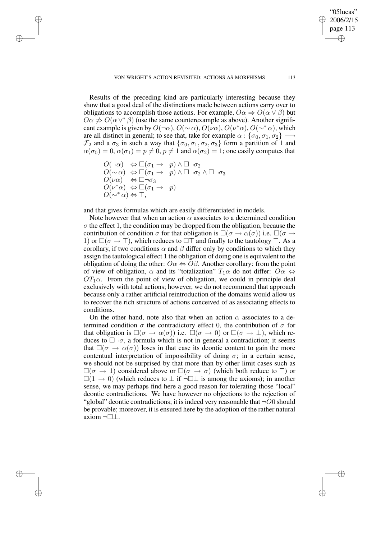Results of the preceding kind are particularly interesting because they show that a good deal of the distinctions made between actions carry over to obligations to accomplish those actions. For example,  $O\alpha \Rightarrow O(\alpha \vee \beta)$  but  $O\alpha \neq O(\alpha \vee^* \beta)$  (use the same counterexample as above). Another significant example is given by  $O(\neg \alpha)$ ,  $O(\sim \alpha)$ ,  $O(\nu \alpha)$ ,  $O(\nu^* \alpha)$ ,  $O(\sim^* \alpha)$ , which are all distinct in general; to see that, take for example  $\alpha$  :  $\{\sigma_0, \sigma_1, \sigma_2\} \longrightarrow$  $\mathcal{F}_2$  and a  $\sigma_3$  in such a way that  $\{\sigma_0, \sigma_1, \sigma_2, \sigma_3\}$  form a partition of 1 and  $\alpha(\sigma_0) = 0$ ,  $\alpha(\sigma_1) = p \neq 0$ ,  $p \neq 1$  and  $\alpha(\sigma_2) = 1$ ; one easily computes that

 $O(\neg \alpha) \Leftrightarrow \Box(\sigma_1 \rightarrow \neg p) \wedge \Box \neg \sigma_2$  $O(\sim \alpha)$   $\Leftrightarrow \Box(\sigma_1 \rightarrow \neg p) \land \Box \neg \sigma_2 \land \Box \neg \sigma_3$  $O(\nu\alpha)$   $\Leftrightarrow \Box \neg \sigma_3$  $O(\nu^*\alpha) \Leftrightarrow \Box(\sigma_1 \rightarrow \neg p)$  $O(\sim^* \alpha) \Leftrightarrow \top$ ,

and that gives formulas which are easily differentiated in models.

Note however that when an action  $\alpha$  associates to a determined condition  $\sigma$  the effect 1, the condition may be dropped from the obligation, because the contribution of condition  $\sigma$  for that obligation is  $\square(\sigma \to \alpha(\sigma))$  i.e.  $\square(\sigma \to \sigma)$ 1) or  $\square(\sigma \to \top)$ , which reduces to  $\square \top$  and finally to the tautology  $\top$ . As a corollary, if two conditions  $\alpha$  and  $\beta$  differ only by conditions to which they assign the tautological effect 1 the obligation of doing one is equivalent to the obligation of doing the other:  $O\alpha \Leftrightarrow O\beta$ . Another corollary: from the point of view of obligation,  $\alpha$  and its "totalization"  $T_1\alpha$  do not differ:  $O\alpha \Leftrightarrow$  $OT<sub>1</sub>\alpha$ . From the point of view of obligation, we could in principle deal exclusively with total actions; however, we do not recommend that approach because only a rather artificial reintroduction of the domains would allow us to recover the rich structure of actions conceived of as associating effects to conditions.

On the other hand, note also that when an action  $\alpha$  associates to a determined condition  $\sigma$  the contradictory effect 0, the contribution of  $\sigma$  for that obligation is  $\square(\sigma \to \alpha(\sigma))$  i.e.  $\square(\sigma \to 0)$  or  $\square(\sigma \to \bot)$ , which reduces to  $\Box\neg\sigma$ , a formula which is not in general a contradiction; it seems that  $\square(\sigma \rightarrow \alpha(\sigma))$  loses in that case its deontic content to gain the more contentual interpretation of impossibility of doing  $\sigma$ ; in a certain sense, we should not be surprised by that more than by other limit cases such as  $\Box(\sigma \rightarrow 1)$  considered above or  $\Box(\sigma \rightarrow \sigma)$  (which both reduce to  $\top$ ) or  $\Box(1 \rightarrow 0)$  (which reduces to  $\bot$  if  $\neg \Box \bot$  is among the axioms); in another sense, we may perhaps find here a good reason for tolerating those "local" deontic contradictions. We have however no objections to the rejection of "global" deontic contradictions; it is indeed very reasonable that  $\neg$ O0 should be provable; moreover, it is ensured here by the adoption of the rather natural axiom ¬□⊥.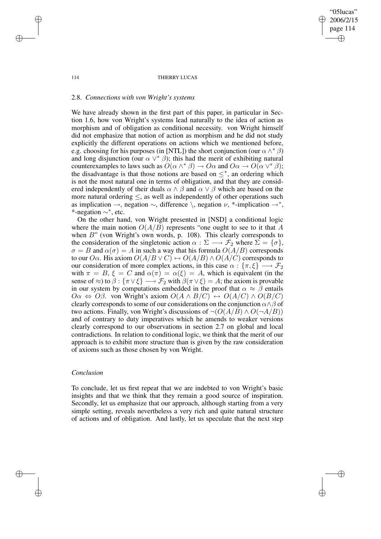#### 114 THIERRY LUCAS

### 2.8. *Connections with von Wright's systems*

We have already shown in the first part of this paper, in particular in Section 1.6, how von Wright's systems lead naturally to the idea of action as morphism and of obligation as conditional necessity. von Wright himself did not emphasize that notion of action as morphism and he did not study explicitly the different operations on actions which we mentioned before, e.g. choosing for his purposes (in [NTL]) the short conjunction (our  $\alpha \wedge^* \beta$ ) and long disjunction (our  $\alpha \vee^* \beta$ ); this had the merit of exhibiting natural counterexamples to laws such as  $O(\alpha \wedge^* \beta) \to O\alpha$  and  $O\alpha \to O(\alpha \vee^* \beta)$ ; the disadvantage is that those notions are based on  $\leq^*$ , an ordering which is not the most natural one in terms of obligation, and that they are considered independently of their duals  $\alpha \wedge \beta$  and  $\alpha \vee \beta$  which are based on the more natural ordering  $\leq$ , as well as independently of other operations such as implication  $\rightarrow$ , negation  $\sim$ , difference \, negation  $\nu$ , \*-implication  $\rightarrow$ \*, \*-negation ∼<sup>∗</sup> , etc.

On the other hand, von Wright presented in [NSD] a conditional logic where the main notion  $O(A/B)$  represents "one ought to see to it that A when  $B$ " (von Wright's own words, p. 108). This clearly corresponds to the consideration of the singletonic action  $\alpha : \Sigma \longrightarrow \mathcal{F}_2$  where  $\Sigma = {\sigma},$  $\sigma = B$  and  $\alpha(\sigma) = A$  in such a way that his formula  $O(A/B)$  corresponds to our O $\alpha$ . His axiom  $O(A/B \vee C) \leftrightarrow O(A/B) \wedge O(A/C)$  corresponds to our consideration of more complex actions, in this case  $\alpha : {\{\pi, \xi\}} \longrightarrow \mathcal{F}_2$ with  $\pi = B$ ,  $\xi = C$  and  $\alpha(\pi) = \alpha(\xi) = A$ , which is equivalent (in the sense of  $\approx$ ) to  $\beta$  :  $\{\pi \vee \xi\} \longrightarrow \mathcal{F}_2$  with  $\beta(\pi \vee \xi) = A$ ; the axiom is provable in our system by computations embedded in the proof that  $\alpha \approx \beta$  entails  $O\alpha \Leftrightarrow O\beta$ . von Wright's axiom  $O(A \wedge B/C) \leftrightarrow O(A/C) \wedge O(B/C)$ clearly corresponds to some of our considerations on the conjunction  $\alpha \wedge \beta$  of two actions. Finally, von Wright's discussions of  $\neg(O(A/B) \land O(\neg A/B))$ and of contrary to duty imperatives which he amends to weaker versions clearly correspond to our observations in section 2.7 on global and local contradictions. In relation to conditional logic, we think that the merit of our approach is to exhibit more structure than is given by the raw consideration of axioms such as those chosen by von Wright.

### *Conclusion*

To conclude, let us first repeat that we are indebted to von Wright's basic insights and that we think that they remain a good source of inspiration. Secondly, let us emphasize that our approach, although starting from a very simple setting, reveals nevertheless a very rich and quite natural structure of actions and of obligation. And lastly, let us speculate that the next step